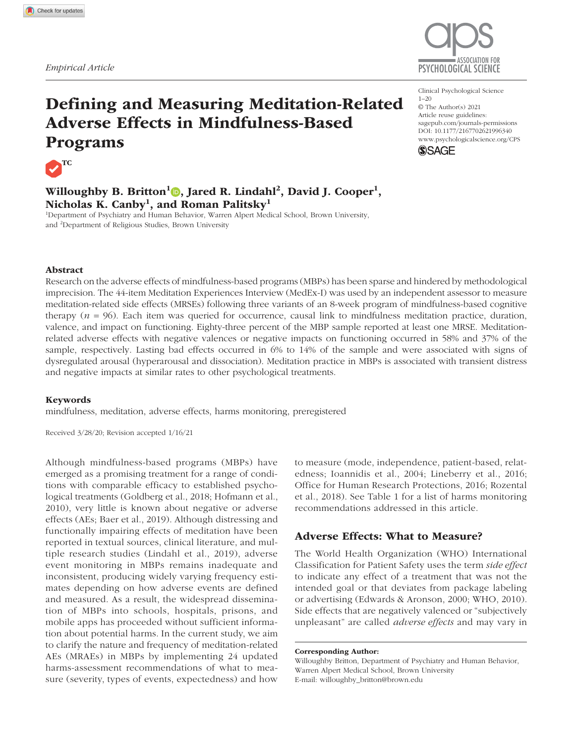

# Defining and Measuring Meditation-Related Adverse Effects in Mindfulness-Based Programs



Willoughby B. Britton<sup>1</sup>O, Jared R. Lindahl<sup>2</sup>, David J. Cooper<sup>1</sup>, Nicholas K. Canby $^{\rm l}$ , and Roman Palitsky $^{\rm l}$ 

<sup>1</sup>Department of Psychiatry and Human Behavior, Warren Alpert Medical School, Brown University, and <sup>2</sup>Department of Religious Studies, Brown University

#### Clinical Psychological Science  $1 - 20$ © The Author(s) 2021 Article reuse guidelines: sagepub.com/journals-permissions DOI: 10.1177/2167702621996340 www.psychologicalscience.org/CPS **SSAGE**



# Abstract

Research on the adverse effects of mindfulness-based programs (MBPs) has been sparse and hindered by methodological imprecision. The 44-item Meditation Experiences Interview (MedEx-I) was used by an independent assessor to measure meditation-related side effects (MRSEs) following three variants of an 8-week program of mindfulness-based cognitive therapy  $(n = 96)$ . Each item was queried for occurrence, causal link to mindfulness meditation practice, duration, valence, and impact on functioning. Eighty-three percent of the MBP sample reported at least one MRSE. Meditationrelated adverse effects with negative valences or negative impacts on functioning occurred in 58% and 37% of the sample, respectively. Lasting bad effects occurred in 6% to 14% of the sample and were associated with signs of dysregulated arousal (hyperarousal and dissociation). Meditation practice in MBPs is associated with transient distress and negative impacts at similar rates to other psychological treatments.

## Keywords

mindfulness, meditation, adverse effects, harms monitoring, preregistered

Received 3/28/20; Revision accepted 1/16/21

Although mindfulness-based programs (MBPs) have emerged as a promising treatment for a range of conditions with comparable efficacy to established psychological treatments (Goldberg et al., 2018; Hofmann et al., 2010), very little is known about negative or adverse effects (AEs; Baer et al., 2019). Although distressing and functionally impairing effects of meditation have been reported in textual sources, clinical literature, and multiple research studies (Lindahl et al., 2019), adverse event monitoring in MBPs remains inadequate and inconsistent, producing widely varying frequency estimates depending on how adverse events are defined and measured. As a result, the widespread dissemination of MBPs into schools, hospitals, prisons, and mobile apps has proceeded without sufficient information about potential harms. In the current study, we aim to clarify the nature and frequency of meditation-related AEs (MRAEs) in MBPs by implementing 24 updated harms-assessment recommendations of what to measure (severity, types of events, expectedness) and how

to measure (mode, independence, patient-based, relatedness; Ioannidis et al., 2004; Lineberry et al., 2016; Office for Human Research Protections, 2016; Rozental et al., 2018). See Table 1 for a list of harms monitoring recommendations addressed in this article.

# Adverse Effects: What to Measure?

The World Health Organization (WHO) International Classification for Patient Safety uses the term *side effect* to indicate any effect of a treatment that was not the intended goal or that deviates from package labeling or advertising (Edwards & Aronson, 2000; WHO, 2010). Side effects that are negatively valenced or "subjectively unpleasant" are called *adverse effects* and may vary in

Corresponding Author:

Willoughby Britton, Department of Psychiatry and Human Behavior, Warren Alpert Medical School, Brown University E-mail: willoughby\_britton@brown.edu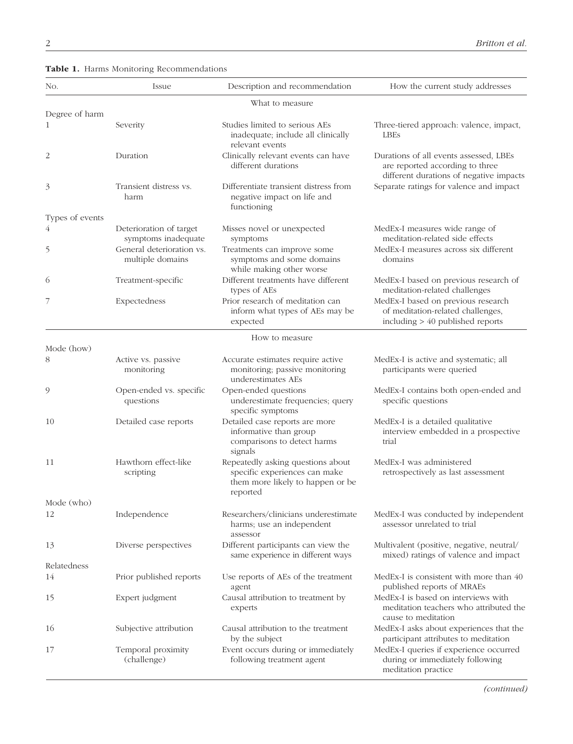|  |  |  | Table 1. Harms Monitoring Recommendations |
|--|--|--|-------------------------------------------|
|--|--|--|-------------------------------------------|

| No.                            | Issue                                          | Description and recommendation                                                                                     | How the current study addresses                                                                                      |
|--------------------------------|------------------------------------------------|--------------------------------------------------------------------------------------------------------------------|----------------------------------------------------------------------------------------------------------------------|
|                                |                                                | What to measure                                                                                                    |                                                                                                                      |
| Degree of harm<br>$\mathbf{1}$ | Severity                                       | Studies limited to serious AEs<br>inadequate; include all clinically<br>relevant events                            | Three-tiered approach: valence, impact,<br>LBEs                                                                      |
| 2                              | Duration                                       | Clinically relevant events can have<br>different durations                                                         | Durations of all events assessed, LBEs<br>are reported according to three<br>different durations of negative impacts |
| 3                              | Transient distress vs.<br>harm                 | Differentiate transient distress from<br>negative impact on life and<br>functioning                                | Separate ratings for valence and impact                                                                              |
| Types of events                |                                                |                                                                                                                    |                                                                                                                      |
| 4                              | Deterioration of target<br>symptoms inadequate | Misses novel or unexpected<br>symptoms                                                                             | MedEx-I measures wide range of<br>meditation-related side effects                                                    |
| 5                              | General deterioration vs.<br>multiple domains  | Treatments can improve some<br>symptoms and some domains<br>while making other worse                               | MedEx-I measures across six different<br>domains                                                                     |
| 6                              | Treatment-specific                             | Different treatments have different<br>types of AEs                                                                | MedEx-I based on previous research of<br>meditation-related challenges                                               |
| 7                              | Expectedness                                   | Prior research of meditation can<br>inform what types of AEs may be<br>expected                                    | MedEx-I based on previous research<br>of meditation-related challenges,<br>including $> 40$ published reports        |
| Mode (how)                     |                                                | How to measure                                                                                                     |                                                                                                                      |
| 8                              | Active vs. passive                             |                                                                                                                    | MedEx-I is active and systematic; all                                                                                |
|                                | monitoring                                     | Accurate estimates require active<br>monitoring; passive monitoring<br>underestimates AEs                          | participants were queried                                                                                            |
| 9                              | Open-ended vs. specific<br>questions           | Open-ended questions<br>underestimate frequencies; query<br>specific symptoms                                      | MedEx-I contains both open-ended and<br>specific questions                                                           |
| 10                             | Detailed case reports                          | Detailed case reports are more<br>informative than group<br>comparisons to detect harms<br>signals                 | MedEx-I is a detailed qualitative<br>interview embedded in a prospective<br>trial                                    |
| 11                             | Hawthorn effect-like<br>scripting              | Repeatedly asking questions about<br>specific experiences can make<br>them more likely to happen or be<br>reported | MedEx-I was administered<br>retrospectively as last assessment                                                       |
| Mode (who)                     |                                                |                                                                                                                    |                                                                                                                      |
| 12                             | Independence                                   | Researchers/clinicians underestimate<br>harms; use an independent<br>assessor                                      | MedEx-I was conducted by independent<br>assessor unrelated to trial                                                  |
| 13                             | Diverse perspectives                           | Different participants can view the<br>same experience in different ways                                           | Multivalent (positive, negative, neutral/<br>mixed) ratings of valence and impact                                    |
| Relatedness                    |                                                |                                                                                                                    |                                                                                                                      |
| 14                             | Prior published reports                        | Use reports of AEs of the treatment<br>agent                                                                       | MedEx-I is consistent with more than 40<br>published reports of MRAEs                                                |
| 15                             | Expert judgment                                | Causal attribution to treatment by<br>experts                                                                      | MedEx-I is based on interviews with<br>meditation teachers who attributed the<br>cause to meditation                 |
| 16                             | Subjective attribution                         | Causal attribution to the treatment<br>by the subject                                                              | MedEx-I asks about experiences that the<br>participant attributes to meditation                                      |
| 17                             | Temporal proximity<br>(challenge)              | Event occurs during or immediately<br>following treatment agent                                                    | MedEx-I queries if experience occurred<br>during or immediately following<br>meditation practice                     |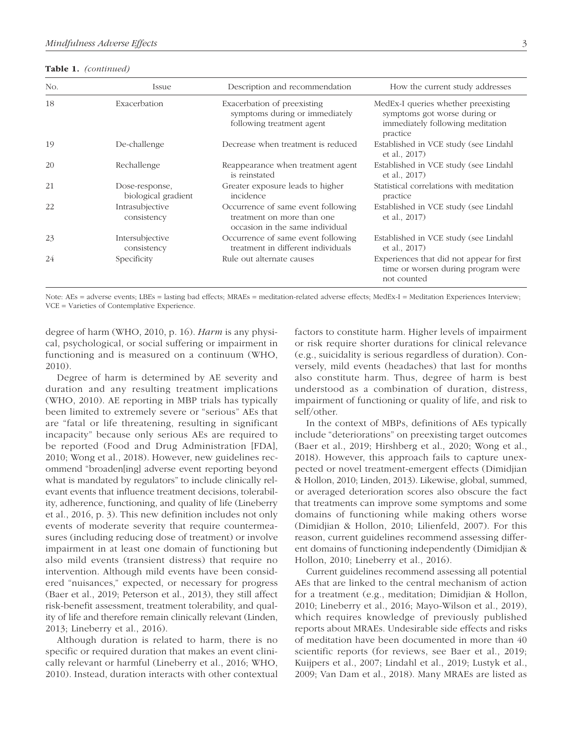Table 1. *(continued)*

| No. | Issue                                 | Description and recommendation                                                                      | How the current study addresses                                                                                     |
|-----|---------------------------------------|-----------------------------------------------------------------------------------------------------|---------------------------------------------------------------------------------------------------------------------|
| 18  | Exacerbation                          | Exacerbation of preexisting<br>symptoms during or immediately<br>following treatment agent          | MedEx-I queries whether preexisting<br>symptoms got worse during or<br>immediately following meditation<br>practice |
| 19  | De-challenge                          | Decrease when treatment is reduced                                                                  | Established in VCE study (see Lindahl<br>et al., 2017)                                                              |
| 20  | Rechallenge                           | Reappearance when treatment agent<br>is reinstated                                                  | Established in VCE study (see Lindahl<br>et al., 2017)                                                              |
| 21  | Dose-response,<br>biological gradient | Greater exposure leads to higher<br>incidence                                                       | Statistical correlations with meditation<br>practice                                                                |
| 22  | Intrasubjective<br>consistency        | Occurrence of same event following<br>treatment on more than one<br>occasion in the same individual | Established in VCE study (see Lindahl<br>et al., 2017)                                                              |
| 23  | Intersubjective<br>consistency        | Occurrence of same event following<br>treatment in different individuals                            | Established in VCE study (see Lindahl<br>et al., 2017)                                                              |
| 24  | Specificity                           | Rule out alternate causes                                                                           | Experiences that did not appear for first<br>time or worsen during program were<br>not counted                      |

Note: AEs = adverse events; LBEs = lasting bad effects; MRAEs = meditation-related adverse effects; MedEx-I = Meditation Experiences Interview; VCE = Varieties of Contemplative Experience.

degree of harm (WHO, 2010, p. 16). *Harm* is any physical, psychological, or social suffering or impairment in functioning and is measured on a continuum (WHO, 2010).

Degree of harm is determined by AE severity and duration and any resulting treatment implications (WHO, 2010). AE reporting in MBP trials has typically been limited to extremely severe or "serious" AEs that are "fatal or life threatening, resulting in significant incapacity" because only serious AEs are required to be reported (Food and Drug Administration [FDA], 2010; Wong et al., 2018). However, new guidelines recommend "broaden[ing] adverse event reporting beyond what is mandated by regulators" to include clinically relevant events that influence treatment decisions, tolerability, adherence, functioning, and quality of life (Lineberry et al., 2016, p. 3). This new definition includes not only events of moderate severity that require countermeasures (including reducing dose of treatment) or involve impairment in at least one domain of functioning but also mild events (transient distress) that require no intervention. Although mild events have been considered "nuisances," expected, or necessary for progress (Baer et al., 2019; Peterson et al., 2013), they still affect risk-benefit assessment, treatment tolerability, and quality of life and therefore remain clinically relevant (Linden, 2013; Lineberry et al., 2016).

Although duration is related to harm, there is no specific or required duration that makes an event clinically relevant or harmful (Lineberry et al., 2016; WHO, 2010). Instead, duration interacts with other contextual factors to constitute harm. Higher levels of impairment or risk require shorter durations for clinical relevance (e.g., suicidality is serious regardless of duration). Conversely, mild events (headaches) that last for months also constitute harm. Thus, degree of harm is best understood as a combination of duration, distress, impairment of functioning or quality of life, and risk to self/other.

In the context of MBPs, definitions of AEs typically include "deteriorations" on preexisting target outcomes (Baer et al., 2019; Hirshberg et al., 2020; Wong et al., 2018). However, this approach fails to capture unexpected or novel treatment-emergent effects (Dimidjian & Hollon, 2010; Linden, 2013). Likewise, global, summed, or averaged deterioration scores also obscure the fact that treatments can improve some symptoms and some domains of functioning while making others worse (Dimidjian & Hollon, 2010; Lilienfeld, 2007). For this reason, current guidelines recommend assessing different domains of functioning independently (Dimidjian & Hollon, 2010; Lineberry et al., 2016).

Current guidelines recommend assessing all potential AEs that are linked to the central mechanism of action for a treatment (e.g., meditation; Dimidjian & Hollon, 2010; Lineberry et al., 2016; Mayo-Wilson et al., 2019), which requires knowledge of previously published reports about MRAEs. Undesirable side effects and risks of meditation have been documented in more than 40 scientific reports (for reviews, see Baer et al., 2019; Kuijpers et al., 2007; Lindahl et al., 2019; Lustyk et al., 2009; Van Dam et al., 2018). Many MRAEs are listed as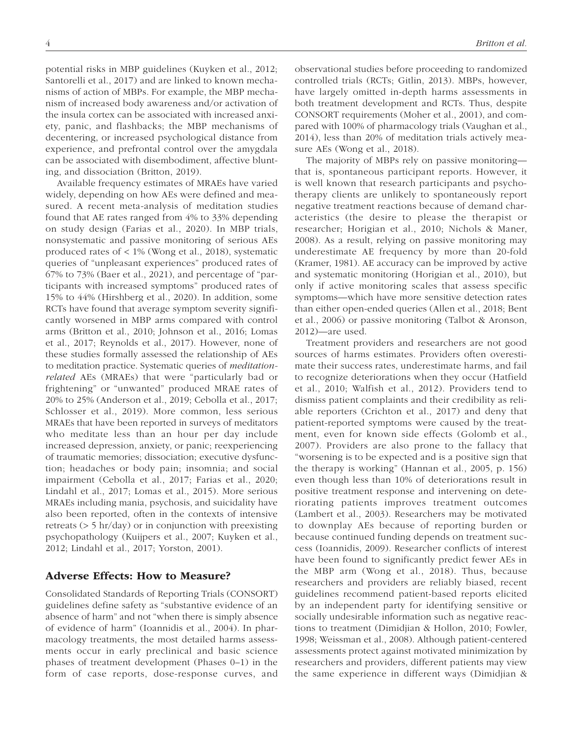potential risks in MBP guidelines (Kuyken et al., 2012; Santorelli et al., 2017) and are linked to known mechanisms of action of MBPs. For example, the MBP mechanism of increased body awareness and/or activation of the insula cortex can be associated with increased anxiety, panic, and flashbacks; the MBP mechanisms of decentering, or increased psychological distance from experience, and prefrontal control over the amygdala can be associated with disembodiment, affective blunting, and dissociation (Britton, 2019).

Available frequency estimates of MRAEs have varied widely, depending on how AEs were defined and measured. A recent meta-analysis of meditation studies found that AE rates ranged from 4% to 33% depending on study design (Farias et al., 2020). In MBP trials, nonsystematic and passive monitoring of serious AEs produced rates of < 1% (Wong et al., 2018), systematic queries of "unpleasant experiences" produced rates of 67% to 73% (Baer et al., 2021), and percentage of "participants with increased symptoms" produced rates of 15% to 44% (Hirshberg et al., 2020). In addition, some RCTs have found that average symptom severity significantly worsened in MBP arms compared with control arms (Britton et al., 2010; Johnson et al., 2016; Lomas et al., 2017; Reynolds et al., 2017). However, none of these studies formally assessed the relationship of AEs to meditation practice. Systematic queries of *meditationrelated* AEs (MRAEs) that were "particularly bad or frightening" or "unwanted" produced MRAE rates of 20% to 25% (Anderson et al., 2019; Cebolla et al., 2017; Schlosser et al., 2019). More common, less serious MRAEs that have been reported in surveys of meditators who meditate less than an hour per day include increased depression, anxiety, or panic; reexperiencing of traumatic memories; dissociation; executive dysfunction; headaches or body pain; insomnia; and social impairment (Cebolla et al., 2017; Farias et al., 2020; Lindahl et al., 2017; Lomas et al., 2015). More serious MRAEs including mania, psychosis, and suicidality have also been reported, often in the contexts of intensive retreats  $(> 5 \text{ hr/day})$  or in conjunction with preexisting psychopathology (Kuijpers et al., 2007; Kuyken et al., 2012; Lindahl et al., 2017; Yorston, 2001).

## Adverse Effects: How to Measure?

Consolidated Standards of Reporting Trials (CONSORT) guidelines define safety as "substantive evidence of an absence of harm" and not "when there is simply absence of evidence of harm" (Ioannidis et al., 2004). In pharmacology treatments, the most detailed harms assessments occur in early preclinical and basic science phases of treatment development (Phases 0–1) in the form of case reports, dose-response curves, and observational studies before proceeding to randomized controlled trials (RCTs; Gitlin, 2013). MBPs, however, have largely omitted in-depth harms assessments in both treatment development and RCTs. Thus, despite CONSORT requirements (Moher et al., 2001), and compared with 100% of pharmacology trials (Vaughan et al., 2014), less than 20% of meditation trials actively measure AEs (Wong et al., 2018).

The majority of MBPs rely on passive monitoring that is, spontaneous participant reports. However, it is well known that research participants and psychotherapy clients are unlikely to spontaneously report negative treatment reactions because of demand characteristics (the desire to please the therapist or researcher; Horigian et al., 2010; Nichols & Maner, 2008). As a result, relying on passive monitoring may underestimate AE frequency by more than 20-fold (Kramer, 1981). AE accuracy can be improved by active and systematic monitoring (Horigian et al., 2010), but only if active monitoring scales that assess specific symptoms—which have more sensitive detection rates than either open-ended queries (Allen et al., 2018; Bent et al., 2006) or passive monitoring (Talbot & Aronson, 2012)—are used.

Treatment providers and researchers are not good sources of harms estimates. Providers often overestimate their success rates, underestimate harms, and fail to recognize deteriorations when they occur (Hatfield et al., 2010; Walfish et al., 2012). Providers tend to dismiss patient complaints and their credibility as reliable reporters (Crichton et al., 2017) and deny that patient-reported symptoms were caused by the treatment, even for known side effects (Golomb et al., 2007). Providers are also prone to the fallacy that "worsening is to be expected and is a positive sign that the therapy is working" (Hannan et al., 2005, p. 156) even though less than 10% of deteriorations result in positive treatment response and intervening on deteriorating patients improves treatment outcomes ( Lambert et al., 2003). Researchers may be motivated to downplay AEs because of reporting burden or because continued funding depends on treatment success (Ioannidis, 2009). Researcher conflicts of interest have been found to significantly predict fewer AEs in the MBP arm (Wong et al., 2018). Thus, because researchers and providers are reliably biased, recent guidelines recommend patient-based reports elicited by an independent party for identifying sensitive or socially undesirable information such as negative reactions to treatment (Dimidjian & Hollon, 2010; Fowler, 1998; Weissman et al., 2008). Although patient-centered assessments protect against motivated minimization by researchers and providers, different patients may view the same experience in different ways (Dimidjian &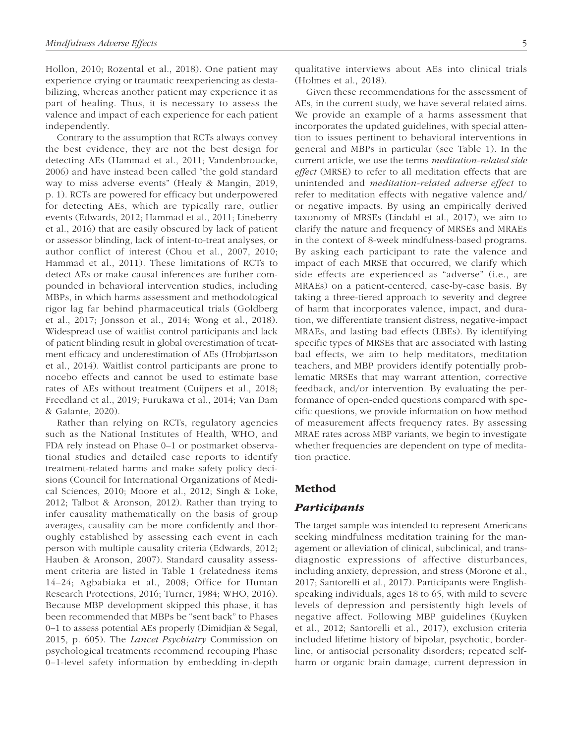Hollon, 2010; Rozental et al., 2018). One patient may experience crying or traumatic reexperiencing as destabilizing, whereas another patient may experience it as part of healing. Thus, it is necessary to assess the valence and impact of each experience for each patient independently.

Contrary to the assumption that RCTs always convey the best evidence, they are not the best design for detecting AEs (Hammad et al., 2011; Vandenbroucke, 2006) and have instead been called "the gold standard way to miss adverse events" (Healy & Mangin, 2019, p. 1). RCTs are powered for efficacy but underpowered for detecting AEs, which are typically rare, outlier events (Edwards, 2012; Hammad et al., 2011; Lineberry et al., 2016) that are easily obscured by lack of patient or assessor blinding, lack of intent-to-treat analyses, or author conflict of interest (Chou et al., 2007, 2010; Hammad et al., 2011). These limitations of RCTs to detect AEs or make causal inferences are further compounded in behavioral intervention studies, including MBPs, in which harms assessment and methodological rigor lag far behind pharmaceutical trials (Goldberg et al., 2017; Jonsson et al., 2014; Wong et al., 2018). Widespread use of waitlist control participants and lack of patient blinding result in global overestimation of treatment efficacy and underestimation of AEs (Hrobjartsson et al., 2014). Waitlist control participants are prone to nocebo effects and cannot be used to estimate base rates of AEs without treatment (Cuijpers et al., 2018; Freedland et al., 2019; Furukawa et al., 2014; Van Dam & Galante, 2020).

Rather than relying on RCTs, regulatory agencies such as the National Institutes of Health, WHO, and FDA rely instead on Phase 0–1 or postmarket observational studies and detailed case reports to identify treatment-related harms and make safety policy decisions (Council for International Organizations of Medical Sciences, 2010; Moore et al., 2012; Singh & Loke, 2012; Talbot & Aronson, 2012). Rather than trying to infer causality mathematically on the basis of group averages, causality can be more confidently and thoroughly established by assessing each event in each person with multiple causality criteria (Edwards, 2012; Hauben & Aronson, 2007). Standard causality assessment criteria are listed in Table 1 (relatedness items 14–24; Agbabiaka et al., 2008; Office for Human Research Protections, 2016; Turner, 1984; WHO, 2016). Because MBP development skipped this phase, it has been recommended that MBPs be "sent back" to Phases 0–1 to assess potential AEs properly (Dimidjian & Segal, 2015, p. 605). The *Lancet Psychiatry* Commission on psychological treatments recommend recouping Phase 0–1-level safety information by embedding in-depth qualitative interviews about AEs into clinical trials (Holmes et al., 2018).

Given these recommendations for the assessment of AEs, in the current study, we have several related aims. We provide an example of a harms assessment that incorporates the updated guidelines, with special attention to issues pertinent to behavioral interventions in general and MBPs in particular (see Table 1). In the current article, we use the terms *meditation-related side effect* (MRSE) to refer to all meditation effects that are unintended and *meditation-related adverse effect* to refer to meditation effects with negative valence and/ or negative impacts. By using an empirically derived taxonomy of MRSEs (Lindahl et al., 2017), we aim to clarify the nature and frequency of MRSEs and MRAEs in the context of 8-week mindfulness-based programs. By asking each participant to rate the valence and impact of each MRSE that occurred, we clarify which side effects are experienced as "adverse" (i.e., are MRAEs) on a patient-centered, case-by-case basis. By taking a three-tiered approach to severity and degree of harm that incorporates valence, impact, and duration, we differentiate transient distress, negative-impact MRAEs, and lasting bad effects (LBEs). By identifying specific types of MRSEs that are associated with lasting bad effects, we aim to help meditators, meditation teachers, and MBP providers identify potentially problematic MRSEs that may warrant attention, corrective feedback, and/or intervention. By evaluating the performance of open-ended questions compared with specific questions, we provide information on how method of measurement affects frequency rates. By assessing MRAE rates across MBP variants, we begin to investigate whether frequencies are dependent on type of meditation practice.

## Method

### Participants

The target sample was intended to represent Americans seeking mindfulness meditation training for the management or alleviation of clinical, subclinical, and transdiagnostic expressions of affective disturbances, including anxiety, depression, and stress (Morone et al., 2017; Santorelli et al., 2017). Participants were Englishspeaking individuals, ages 18 to 65, with mild to severe levels of depression and persistently high levels of negative affect. Following MBP guidelines (Kuyken et al., 2012; Santorelli et al., 2017), exclusion criteria included lifetime history of bipolar, psychotic, borderline, or antisocial personality disorders; repeated selfharm or organic brain damage; current depression in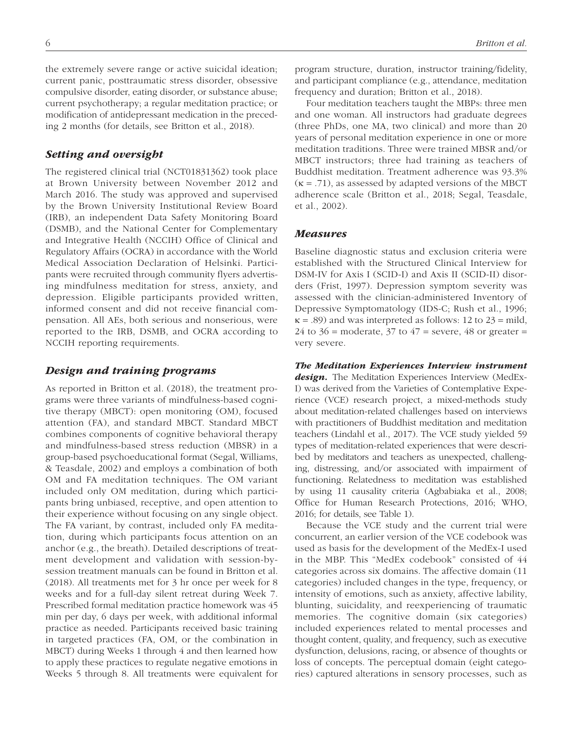the extremely severe range or active suicidal ideation; current panic, posttraumatic stress disorder, obsessive compulsive disorder, eating disorder, or substance abuse; current psychotherapy; a regular meditation practice; or modification of antidepressant medication in the preceding 2 months (for details, see Britton et al., 2018).

## Setting and oversight

The registered clinical trial (NCT01831362) took place at Brown University between November 2012 and March 2016. The study was approved and supervised by the Brown University Institutional Review Board (IRB), an independent Data Safety Monitoring Board (DSMB), and the National Center for Complementary and Integrative Health (NCCIH) Office of Clinical and Regulatory Affairs (OCRA) in accordance with the World Medical Association Declaration of Helsinki. Participants were recruited through community flyers advertising mindfulness meditation for stress, anxiety, and depression. Eligible participants provided written, informed consent and did not receive financial compensation. All AEs, both serious and nonserious, were reported to the IRB, DSMB, and OCRA according to NCCIH reporting requirements.

## Design and training programs

As reported in Britton et al. (2018), the treatment programs were three variants of mindfulness-based cognitive therapy (MBCT): open monitoring (OM), focused attention (FA), and standard MBCT. Standard MBCT combines components of cognitive behavioral therapy and mindfulness-based stress reduction (MBSR) in a group-based psychoeducational format (Segal, Williams, & Teasdale, 2002) and employs a combination of both OM and FA meditation techniques. The OM variant included only OM meditation, during which participants bring unbiased, receptive, and open attention to their experience without focusing on any single object. The FA variant, by contrast, included only FA meditation, during which participants focus attention on an anchor (e.g., the breath). Detailed descriptions of treatment development and validation with session-bysession treatment manuals can be found in Britton et al. (2018). All treatments met for 3 hr once per week for 8 weeks and for a full-day silent retreat during Week 7. Prescribed formal meditation practice homework was 45 min per day, 6 days per week, with additional informal practice as needed. Participants received basic training in targeted practices (FA, OM, or the combination in MBCT) during Weeks 1 through 4 and then learned how to apply these practices to regulate negative emotions in Weeks 5 through 8. All treatments were equivalent for program structure, duration, instructor training/fidelity, and participant compliance (e.g., attendance, meditation frequency and duration; Britton et al., 2018).

Four meditation teachers taught the MBPs: three men and one woman. All instructors had graduate degrees (three PhDs, one MA, two clinical) and more than 20 years of personal meditation experience in one or more meditation traditions. Three were trained MBSR and/or MBCT instructors; three had training as teachers of Buddhist meditation. Treatment adherence was 93.3%  $(\kappa = .71)$ , as assessed by adapted versions of the MBCT adherence scale (Britton et al., 2018; Segal, Teasdale, et al., 2002).

## Measures

Baseline diagnostic status and exclusion criteria were established with the Structured Clinical Interview for DSM-IV for Axis I (SCID-I) and Axis II (SCID-II) disorders (Frist, 1997). Depression symptom severity was assessed with the clinician-administered Inventory of Depressive Symptomatology (IDS-C; Rush et al., 1996;  $\kappa$  = .89) and was interpreted as follows: 12 to 23 = mild, 24 to  $36$  = moderate,  $37$  to  $47$  = severe,  $48$  or greater = very severe.

The Meditation Experiences Interview instrument design. The Meditation Experiences Interview (MedEx-I) was derived from the Varieties of Contemplative Experience (VCE) research project, a mixed-methods study about meditation-related challenges based on interviews with practitioners of Buddhist meditation and meditation teachers (Lindahl et al., 2017). The VCE study yielded 59 types of meditation-related experiences that were described by meditators and teachers as unexpected, challenging, distressing, and/or associated with impairment of functioning. Relatedness to meditation was established by using 11 causality criteria (Agbabiaka et al., 2008; Office for Human Research Protections, 2016; WHO, 2016; for details, see Table 1).

Because the VCE study and the current trial were concurrent, an earlier version of the VCE codebook was used as basis for the development of the MedEx-I used in the MBP. This "MedEx codebook" consisted of 44 categories across six domains. The affective domain (11 categories) included changes in the type, frequency, or intensity of emotions, such as anxiety, affective lability, blunting, suicidality, and reexperiencing of traumatic memories. The cognitive domain (six categories) included experiences related to mental processes and thought content, quality, and frequency, such as executive dysfunction, delusions, racing, or absence of thoughts or loss of concepts. The perceptual domain (eight categories) captured alterations in sensory processes, such as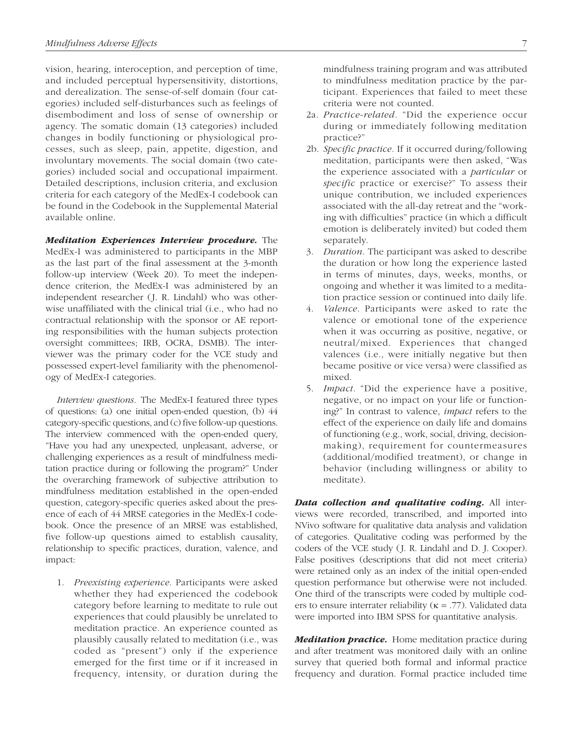vision, hearing, interoception, and perception of time, and included perceptual hypersensitivity, distortions, and derealization. The sense-of-self domain (four categories) included self-disturbances such as feelings of disembodiment and loss of sense of ownership or agency. The somatic domain (13 categories) included changes in bodily functioning or physiological processes, such as sleep, pain, appetite, digestion, and involuntary movements. The social domain (two categories) included social and occupational impairment. Detailed descriptions, inclusion criteria, and exclusion criteria for each category of the MedEx-I codebook can be found in the Codebook in the Supplemental Material available online.

Meditation Experiences Interview procedure. The MedEx-I was administered to participants in the MBP as the last part of the final assessment at the 3-month follow-up interview (Week 20). To meet the independence criterion, the MedEx-I was administered by an independent researcher (J. R. Lindahl) who was otherwise unaffiliated with the clinical trial (i.e., who had no contractual relationship with the sponsor or AE reporting responsibilities with the human subjects protection oversight committees; IRB, OCRA, DSMB). The interviewer was the primary coder for the VCE study and possessed expert-level familiarity with the phenomenology of MedEx-I categories.

*Interview questions.* The MedEx-I featured three types of questions: (a) one initial open-ended question, (b) 44 category-specific questions, and (c) five follow-up questions. The interview commenced with the open-ended query, "Have you had any unexpected, unpleasant, adverse, or challenging experiences as a result of mindfulness meditation practice during or following the program?" Under the overarching framework of subjective attribution to mindfulness meditation established in the open-ended question, category-specific queries asked about the presence of each of 44 MRSE categories in the MedEx-I codebook. Once the presence of an MRSE was established, five follow-up questions aimed to establish causality, relationship to specific practices, duration, valence, and impact:

1. *Preexisting experience.* Participants were asked whether they had experienced the codebook category before learning to meditate to rule out experiences that could plausibly be unrelated to meditation practice. An experience counted as plausibly causally related to meditation (i.e., was coded as "present") only if the experience emerged for the first time or if it increased in frequency, intensity, or duration during the

mindfulness training program and was attributed to mindfulness meditation practice by the participant. Experiences that failed to meet these criteria were not counted.

- 2a. *Practice-related.* "Did the experience occur during or immediately following meditation practice?"
- 2b. *Specific practice.* If it occurred during/following meditation, participants were then asked, "Was the experience associated with a *particular* or *specific* practice or exercise?" To assess their unique contribution, we included experiences associated with the all-day retreat and the "working with difficulties" practice (in which a difficult emotion is deliberately invited) but coded them separately.
- 3. *Duration.* The participant was asked to describe the duration or how long the experience lasted in terms of minutes, days, weeks, months, or ongoing and whether it was limited to a meditation practice session or continued into daily life.
- 4. *Valence*. Participants were asked to rate the valence or emotional tone of the experience when it was occurring as positive, negative, or neutral/mixed. Experiences that changed valences (i.e., were initially negative but then became positive or vice versa) were classified as mixed.
- 5. *Impact.* "Did the experience have a positive, negative, or no impact on your life or functioning?" In contrast to valence, *impact* refers to the effect of the experience on daily life and domains of functioning (e.g., work, social, driving, decisionmaking), requirement for countermeasures (additional/modified treatment), or change in behavior (including willingness or ability to meditate).

Data collection and qualitative coding. All interviews were recorded, transcribed, and imported into NVivo software for qualitative data analysis and validation of categories. Qualitative coding was performed by the coders of the VCE study (J. R. Lindahl and D. J. Cooper). False positives (descriptions that did not meet criteria) were retained only as an index of the initial open-ended question performance but otherwise were not included. One third of the transcripts were coded by multiple coders to ensure interrater reliability ( $\kappa$  = .77). Validated data were imported into IBM SPSS for quantitative analysis.

**Meditation practice.** Home meditation practice during and after treatment was monitored daily with an online survey that queried both formal and informal practice frequency and duration. Formal practice included time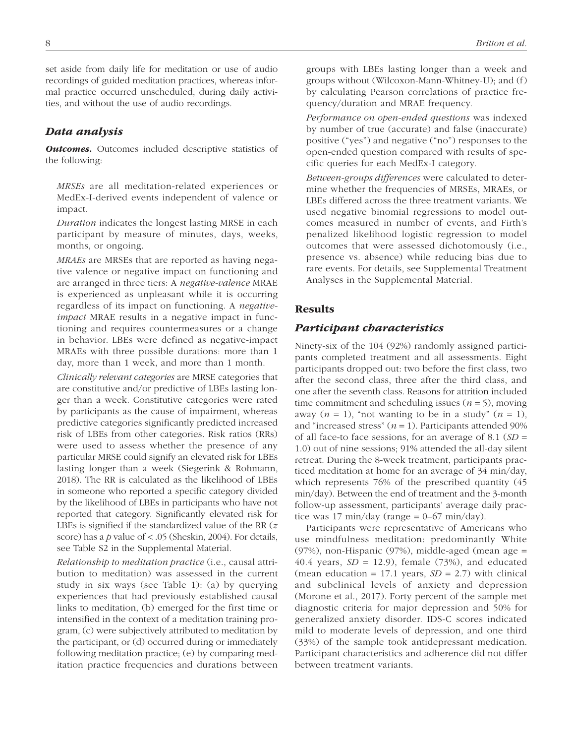set aside from daily life for meditation or use of audio recordings of guided meditation practices, whereas informal practice occurred unscheduled, during daily activities, and without the use of audio recordings.

# Data analysis

**Outcomes.** Outcomes included descriptive statistics of the following:

*MRSEs* are all meditation-related experiences or MedEx-I-derived events independent of valence or impact.

*Duration* indicates the longest lasting MRSE in each participant by measure of minutes, days, weeks, months, or ongoing.

*MRAEs* are MRSEs that are reported as having negative valence or negative impact on functioning and are arranged in three tiers: A *negative-valence* MRAE is experienced as unpleasant while it is occurring regardless of its impact on functioning. A *negativeimpact* MRAE results in a negative impact in functioning and requires countermeasures or a change in behavior. LBEs were defined as negative-impact MRAEs with three possible durations: more than 1 day, more than 1 week, and more than 1 month.

*Clinically relevant categories* are MRSE categories that are constitutive and/or predictive of LBEs lasting longer than a week. Constitutive categories were rated by participants as the cause of impairment, whereas predictive categories significantly predicted increased risk of LBEs from other categories. Risk ratios (RRs) were used to assess whether the presence of any particular MRSE could signify an elevated risk for LBEs lasting longer than a week (Siegerink & Rohmann, 2018). The RR is calculated as the likelihood of LBEs in someone who reported a specific category divided by the likelihood of LBEs in participants who have not reported that category. Significantly elevated risk for LBEs is signified if the standardized value of the RR (*z* score) has a *p* value of < .05 (Sheskin, 2004). For details, see Table S2 in the Supplemental Material.

*Relationship to meditation practice* (i.e., causal attribution to meditation) was assessed in the current study in six ways (see Table 1): (a) by querying experiences that had previously established causal links to meditation, (b) emerged for the first time or intensified in the context of a meditation training program, (c) were subjectively attributed to meditation by the participant, or (d) occurred during or immediately following meditation practice; (e) by comparing meditation practice frequencies and durations between groups with LBEs lasting longer than a week and groups without (Wilcoxon-Mann-Whitney-U); and (f) by calculating Pearson correlations of practice frequency/duration and MRAE frequency.

*Performance on open-ended questions* was indexed by number of true (accurate) and false (inaccurate) positive ("yes") and negative ("no") responses to the open-ended question compared with results of specific queries for each MedEx-I category.

*Between-groups differences* were calculated to determine whether the frequencies of MRSEs, MRAEs, or LBEs differed across the three treatment variants. We used negative binomial regressions to model outcomes measured in number of events, and Firth's penalized likelihood logistic regression to model outcomes that were assessed dichotomously (i.e., presence vs. absence) while reducing bias due to rare events. For details, see Supplemental Treatment Analyses in the Supplemental Material.

## Results

## Participant characteristics

Ninety-six of the 104 (92%) randomly assigned participants completed treatment and all assessments. Eight participants dropped out: two before the first class, two after the second class, three after the third class, and one after the seventh class. Reasons for attrition included time commitment and scheduling issues ( $n = 5$ ), moving away ( $n = 1$ ), "not wanting to be in a study" ( $n = 1$ ), and "increased stress"  $(n = 1)$ . Participants attended 90% of all face-to face sessions, for an average of 8.1 (*SD* = 1.0) out of nine sessions; 91% attended the all-day silent retreat. During the 8-week treatment, participants practiced meditation at home for an average of 34 min/day, which represents 76% of the prescribed quantity (45 min/day). Between the end of treatment and the 3-month follow-up assessment, participants' average daily practice was 17 min/day (range =  $0-67$  min/day).

Participants were representative of Americans who use mindfulness meditation: predominantly White (97%), non-Hispanic (97%), middle-aged (mean age = 40.4 years,  $SD = 12.9$ ), female (73%), and educated (mean education = 17.1 years,  $SD = 2.7$ ) with clinical and subclinical levels of anxiety and depression (Morone et al., 2017). Forty percent of the sample met diagnostic criteria for major depression and 50% for generalized anxiety disorder. IDS-C scores indicated mild to moderate levels of depression, and one third (33%) of the sample took antidepressant medication. Participant characteristics and adherence did not differ between treatment variants.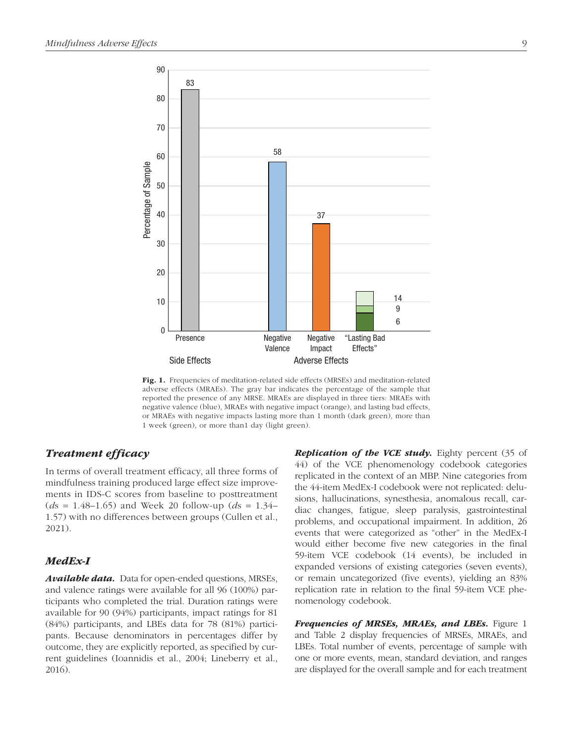

Fig. 1. Frequencies of meditation-related side effects (MRSEs) and meditation-related adverse effects (MRAEs). The gray bar indicates the percentage of the sample that reported the presence of any MRSE. MRAEs are displayed in three tiers: MRAEs with negative valence (blue), MRAEs with negative impact (orange), and lasting bad effects, or MRAEs with negative impacts lasting more than 1 month (dark green), more than 1 week (green), or more than1 day (light green).

# Treatment efficacy

In terms of overall treatment efficacy, all three forms of mindfulness training produced large effect size improvements in IDS-C scores from baseline to posttreatment (*d*s = 1.48–1.65) and Week 20 follow-up (*d*s = 1.34– 1.57) with no differences between groups (Cullen et al., 2021).

## MedEx-I

**Available data.** Data for open-ended questions, MRSEs, and valence ratings were available for all 96 (100%) participants who completed the trial. Duration ratings were available for 90 (94%) participants, impact ratings for 81 (84%) participants, and LBEs data for 78 (81%) participants. Because denominators in percentages differ by outcome, they are explicitly reported, as specified by current guidelines (Ioannidis et al., 2004; Lineberry et al., 2016).

**Replication of the VCE study.** Eighty percent (35 of 44) of the VCE phenomenology codebook categories replicated in the context of an MBP. Nine categories from the 44-item MedEx-I codebook were not replicated: delusions, hallucinations, synesthesia, anomalous recall, cardiac changes, fatigue, sleep paralysis, gastrointestinal problems, and occupational impairment. In addition, 26 events that were categorized as "other" in the MedEx-I would either become five new categories in the final 59-item VCE codebook (14 events), be included in expanded versions of existing categories (seven events), or remain uncategorized (five events), yielding an 83% replication rate in relation to the final 59-item VCE phenomenology codebook.

**Frequencies of MRSEs, MRAEs, and LBEs.** Figure 1 and Table 2 display frequencies of MRSEs, MRAEs, and LBEs. Total number of events, percentage of sample with one or more events, mean, standard deviation, and ranges are displayed for the overall sample and for each treatment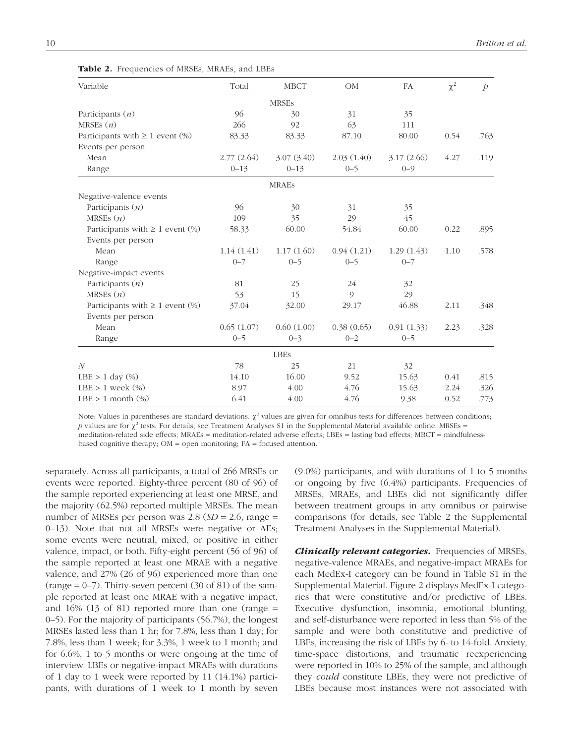| Variable                                | Total      | <b>MBCT</b>  | OM         | FA         | $\chi^2$ | $\mathcal{P}$ |
|-----------------------------------------|------------|--------------|------------|------------|----------|---------------|
|                                         |            | <b>MRSEs</b> |            |            |          |               |
| Participants $(n)$                      | 96         | 30           | 31         | 35         |          |               |
| MRSEs $(n)$                             | 266        | 92           | 63         | 111        |          |               |
| Participants with $\geq 1$ event $(\%)$ | 83.33      | 83.33        | 87.10      | 80.00      | 0.54     | .763          |
| Events per person                       |            |              |            |            |          |               |
| Mean                                    | 2.77(2.64) | 3.07(3.40)   | 2.03(1.40) | 3.17(2.66) | 4.27     | .119          |
| Range                                   | $0 - 13$   | $0 - 13$     | $0 - 5$    | $0 - 9$    |          |               |
|                                         |            | <b>MRAES</b> |            |            |          |               |
| Negative-valence events                 |            |              |            |            |          |               |
| Participants $(n)$                      | 96         | 30           | 31         | 35         |          |               |
| MRSEs $(n)$                             | 109        | 35           | 29         | 45         |          |               |
| Participants with $\geq 1$ event $(\%)$ | 58.33      | 60.00        | 54.84      | 60.00      | 0.22     | .895          |
| Events per person                       |            |              |            |            |          |               |
| Mean                                    | 1.14(1.41) | 1.17(1.60)   | 0.94(1.21) | 1.29(1.43) | 1.10     | .578          |
| Range                                   | $0 - 7$    | $0 - 5$      | $0 - 5$    | $0 - 7$    |          |               |
| Negative-impact events                  |            |              |            |            |          |               |
| Participants $(n)$                      | 81         | 25           | 24         | 32         |          |               |
| MRSEs $(n)$                             | 53         | 15           | $\circ$    | 29         |          |               |
| Participants with $\geq 1$ event (%)    | 37.04      | 32.00        | 29.17      | 46.88      | 2.11     | .348          |
| Events per person                       |            |              |            |            |          |               |
| Mean                                    | 0.65(1.07) | 0.60(1.00)   | 0.38(0.65) | 0.91(1.33) | 2.23     | .328          |
| Range                                   | $0 - 5$    | $0 - 3$      | $0 - 2$    | $0 - 5$    |          |               |
|                                         |            | <b>LBEs</b>  |            |            |          |               |
| $\overline{N}$                          | 78         | 25           | 21         | 32         |          |               |
| LBE $> 1$ day $(\%)$                    | 14.10      | 16.00        | 9.52       | 15.63      | 0.41     | .815          |
| LBE $> 1$ week $(\%)$                   | 8.97       | 4.00         | 4.76       | 15.63      | 2.24     | .326          |
| LBE $> 1$ month $(\%)$                  | 6.41       | 4.00         | 4.76       | 9.38       | 0.52     | .773          |

Table 2. Frequencies of MRSEs, MRAEs, and LBEs

Note: Values in parentheses are standard deviations.  $\chi^2$  values are given for omnibus tests for differences between conditions; p values are for  $\chi^2$  tests. For details, see Treatment Analyses S1 in the Supplemental Material available online. MRSEs = meditation-related side effects; MRAEs = meditation-related adverse effects; LBEs = lasting bad effects; MBCT = mindfulnessbased cognitive therapy; OM = open monitoring; FA = focused attention.

separately. Across all participants, a total of 266 MRSEs or events were reported. Eighty-three percent (80 of 96) of the sample reported experiencing at least one MRSE, and the majority (62.5%) reported multiple MRSEs. The mean number of MRSEs per person was  $2.8$  ( $SD = 2.6$ , range = 0–13). Note that not all MRSEs were negative or AEs; some events were neutral, mixed, or positive in either valence, impact, or both. Fifty-eight percent (56 of 96) of the sample reported at least one MRAE with a negative valence, and 27% (26 of 96) experienced more than one (range  $= 0 - 7$ ). Thirty-seven percent (30 of 81) of the sample reported at least one MRAE with a negative impact, and 16% (13 of 81) reported more than one (range = 0–5). For the majority of participants (56.7%), the longest MRSEs lasted less than 1 hr; for 7.8%, less than 1 day; for 7.8%, less than 1 week; for 3.3%, 1 week to 1 month; and for 6.6%, 1 to 5 months or were ongoing at the time of interview. LBEs or negative-impact MRAEs with durations of 1 day to 1 week were reported by 11 (14.1%) participants, with durations of 1 week to 1 month by seven

(9.0%) participants, and with durations of 1 to 5 months or ongoing by five (6.4%) participants. Frequencies of MRSEs, MRAEs, and LBEs did not significantly differ between treatment groups in any omnibus or pairwise comparisons (for details, see Table 2 the Supplemental Treatment Analyses in the Supplemental Material).

**Clinically relevant categories.** Frequencies of MRSEs, negative-valence MRAEs, and negative-impact MRAEs for each MedEx-I category can be found in Table S1 in the Supplemental Material. Figure 2 displays MedEx-I categories that were constitutive and/or predictive of LBEs. Executive dysfunction, insomnia, emotional blunting, and self-disturbance were reported in less than 5% of the sample and were both constitutive and predictive of LBEs, increasing the risk of LBEs by 6- to 14-fold. Anxiety, time-space distortions, and traumatic reexperiencing were reported in 10% to 25% of the sample, and although they *could* constitute LBEs, they were not predictive of LBEs because most instances were not associated with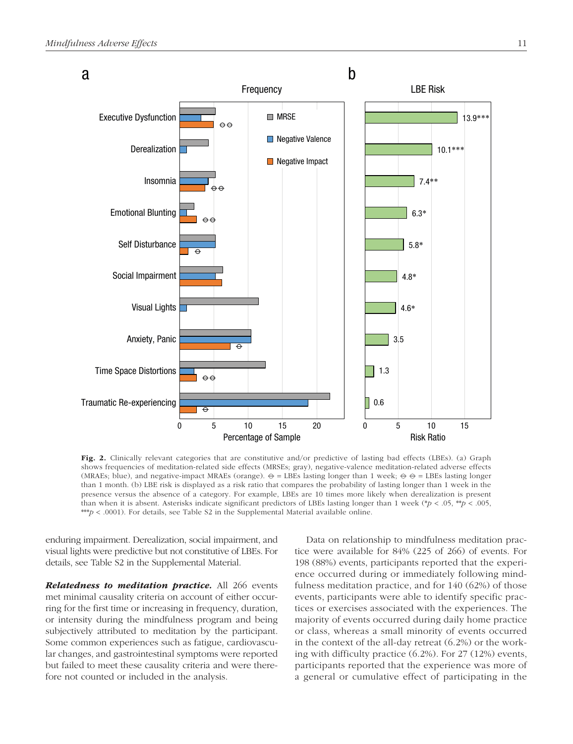

Fig. 2. Clinically relevant categories that are constitutive and/or predictive of lasting bad effects (LBEs). (a) Graph shows frequencies of meditation-related side effects (MRSEs; gray), negative-valence meditation-related adverse effects (MRAEs; blue), and negative-impact MRAEs (orange).  $\Theta = \text{LBEs}$  lasting longer than 1 week;  $\Theta = \text{LBEs}$  lasting longer than 1 month. (b) LBE risk is displayed as a risk ratio that compares the probability of lasting longer than 1 week in the presence versus the absence of a category. For example, LBEs are 10 times more likely when derealization is present than when it is absent. Asterisks indicate significant predictors of LBEs lasting longer than 1 week (\* $p < .05$ , \*\* $p < .005$ , \*\*\**p* < .0001). For details, see Table S2 in the Supplemental Material available online.

enduring impairment. Derealization, social impairment, and visual lights were predictive but not constitutive of LBEs. For details, see Table S2 in the Supplemental Material.

Relatedness to meditation practice. All 266 events met minimal causality criteria on account of either occurring for the first time or increasing in frequency, duration, or intensity during the mindfulness program and being subjectively attributed to meditation by the participant. Some common experiences such as fatigue, cardiovascular changes, and gastrointestinal symptoms were reported but failed to meet these causality criteria and were therefore not counted or included in the analysis.

Data on relationship to mindfulness meditation practice were available for 84% (225 of 266) of events. For 198 (88%) events, participants reported that the experience occurred during or immediately following mindfulness meditation practice, and for 140 (62%) of those events, participants were able to identify specific practices or exercises associated with the experiences. The majority of events occurred during daily home practice or class, whereas a small minority of events occurred in the context of the all-day retreat (6.2%) or the working with difficulty practice (6.2%). For 27 (12%) events, participants reported that the experience was more of a general or cumulative effect of participating in the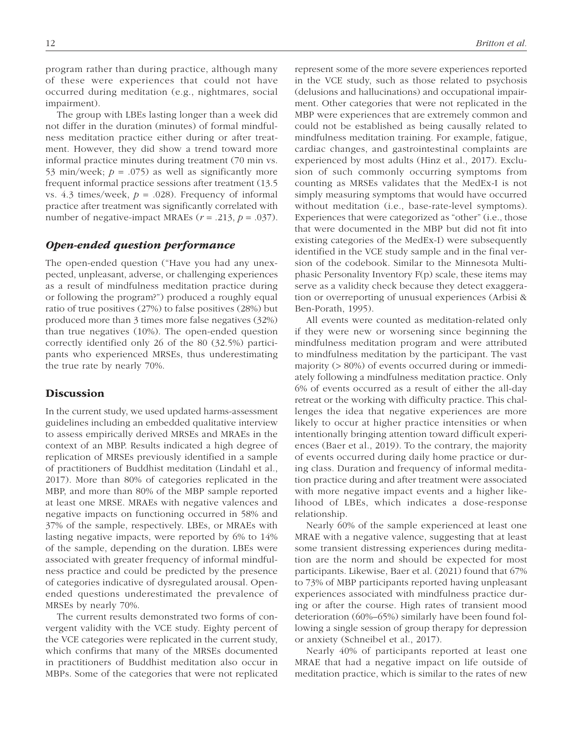program rather than during practice, although many of these were experiences that could not have occurred during meditation (e.g., nightmares, social impairment).

The group with LBEs lasting longer than a week did not differ in the duration (minutes) of formal mindfulness meditation practice either during or after treatment. However, they did show a trend toward more informal practice minutes during treatment (70 min vs. 53 min/week;  $p = .075$ ) as well as significantly more frequent informal practice sessions after treatment (13.5 vs. 4.3 times/week,  $p = .028$ ). Frequency of informal practice after treatment was significantly correlated with number of negative-impact MRAEs  $(r = .213, p = .037)$ .

## Open-ended question performance

The open-ended question ("Have you had any unexpected, unpleasant, adverse, or challenging experiences as a result of mindfulness meditation practice during or following the program?") produced a roughly equal ratio of true positives (27%) to false positives (28%) but produced more than 3 times more false negatives (32%) than true negatives (10%). The open-ended question correctly identified only 26 of the 80 (32.5%) participants who experienced MRSEs, thus underestimating the true rate by nearly 70%.

## **Discussion**

In the current study, we used updated harms-assessment guidelines including an embedded qualitative interview to assess empirically derived MRSEs and MRAEs in the context of an MBP. Results indicated a high degree of replication of MRSEs previously identified in a sample of practitioners of Buddhist meditation (Lindahl et al., 2017). More than 80% of categories replicated in the MBP, and more than 80% of the MBP sample reported at least one MRSE. MRAEs with negative valences and negative impacts on functioning occurred in 58% and 37% of the sample, respectively. LBEs, or MRAEs with lasting negative impacts, were reported by 6% to 14% of the sample, depending on the duration. LBEs were associated with greater frequency of informal mindfulness practice and could be predicted by the presence of categories indicative of dysregulated arousal. Openended questions underestimated the prevalence of MRSEs by nearly 70%.

The current results demonstrated two forms of convergent validity with the VCE study. Eighty percent of the VCE categories were replicated in the current study, which confirms that many of the MRSEs documented in practitioners of Buddhist meditation also occur in MBPs. Some of the categories that were not replicated represent some of the more severe experiences reported in the VCE study, such as those related to psychosis (delusions and hallucinations) and occupational impairment. Other categories that were not replicated in the MBP were experiences that are extremely common and could not be established as being causally related to mindfulness meditation training. For example, fatigue, cardiac changes, and gastrointestinal complaints are experienced by most adults (Hinz et al., 2017). Exclusion of such commonly occurring symptoms from counting as MRSEs validates that the MedEx-I is not simply measuring symptoms that would have occurred without meditation (i.e., base-rate-level symptoms). Experiences that were categorized as "other" (i.e., those that were documented in the MBP but did not fit into existing categories of the MedEx-I) were subsequently identified in the VCE study sample and in the final version of the codebook. Similar to the Minnesota Multiphasic Personality Inventory F(p) scale, these items may serve as a validity check because they detect exaggeration or overreporting of unusual experiences (Arbisi & Ben-Porath, 1995).

All events were counted as meditation-related only if they were new or worsening since beginning the mindfulness meditation program and were attributed to mindfulness meditation by the participant. The vast majority (> 80%) of events occurred during or immediately following a mindfulness meditation practice. Only 6% of events occurred as a result of either the all-day retreat or the working with difficulty practice. This challenges the idea that negative experiences are more likely to occur at higher practice intensities or when intentionally bringing attention toward difficult experiences (Baer et al., 2019). To the contrary, the majority of events occurred during daily home practice or during class. Duration and frequency of informal meditation practice during and after treatment were associated with more negative impact events and a higher likelihood of LBEs, which indicates a dose-response relationship.

Nearly 60% of the sample experienced at least one MRAE with a negative valence, suggesting that at least some transient distressing experiences during meditation are the norm and should be expected for most participants. Likewise, Baer et al. (2021) found that 67% to 73% of MBP participants reported having unpleasant experiences associated with mindfulness practice during or after the course. High rates of transient mood deterioration (60%–65%) similarly have been found following a single session of group therapy for depression or anxiety (Schneibel et al., 2017).

Nearly 40% of participants reported at least one MRAE that had a negative impact on life outside of meditation practice, which is similar to the rates of new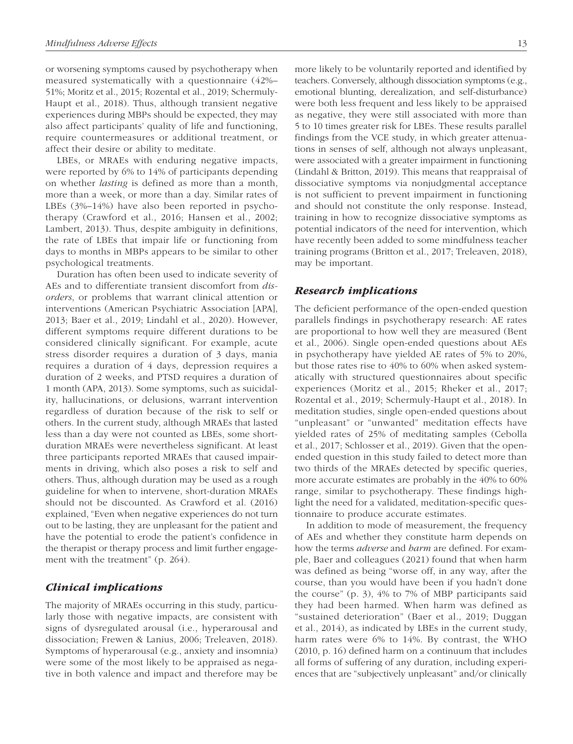or worsening symptoms caused by psychotherapy when measured systematically with a questionnaire (42%– 51%; Moritz et al., 2015; Rozental et al., 2019; Schermuly-Haupt et al., 2018). Thus, although transient negative experiences during MBPs should be expected, they may also affect participants' quality of life and functioning, require countermeasures or additional treatment, or affect their desire or ability to meditate.

LBEs, or MRAEs with enduring negative impacts, were reported by 6% to 14% of participants depending on whether *lasting* is defined as more than a month, more than a week, or more than a day. Similar rates of LBEs (3%–14%) have also been reported in psychotherapy (Crawford et al., 2016; Hansen et al., 2002; Lambert, 2013). Thus, despite ambiguity in definitions, the rate of LBEs that impair life or functioning from days to months in MBPs appears to be similar to other psychological treatments.

Duration has often been used to indicate severity of AEs and to differentiate transient discomfort from *disorders*, or problems that warrant clinical attention or interventions (American Psychiatric Association [APA], 2013; Baer et al., 2019; Lindahl et al., 2020). However, different symptoms require different durations to be considered clinically significant. For example, acute stress disorder requires a duration of 3 days, mania requires a duration of 4 days, depression requires a duration of 2 weeks, and PTSD requires a duration of 1 month (APA, 2013). Some symptoms, such as suicidality, hallucinations, or delusions, warrant intervention regardless of duration because of the risk to self or others. In the current study, although MRAEs that lasted less than a day were not counted as LBEs, some shortduration MRAEs were nevertheless significant. At least three participants reported MRAEs that caused impairments in driving, which also poses a risk to self and others. Thus, although duration may be used as a rough guideline for when to intervene, short-duration MRAEs should not be discounted. As Crawford et al. (2016) explained, "Even when negative experiences do not turn out to be lasting, they are unpleasant for the patient and have the potential to erode the patient's confidence in the therapist or therapy process and limit further engagement with the treatment" (p. 264).

## Clinical implications

The majority of MRAEs occurring in this study, particularly those with negative impacts, are consistent with signs of dysregulated arousal (i.e., hyperarousal and dissociation; Frewen & Lanius, 2006; Treleaven, 2018). Symptoms of hyperarousal (e.g., anxiety and insomnia) were some of the most likely to be appraised as negative in both valence and impact and therefore may be more likely to be voluntarily reported and identified by teachers. Conversely, although dissociation symptoms (e.g., emotional blunting, derealization, and self-disturbance) were both less frequent and less likely to be appraised as negative, they were still associated with more than 5 to 10 times greater risk for LBEs. These results parallel findings from the VCE study, in which greater attenuations in senses of self, although not always unpleasant, were associated with a greater impairment in functioning (Lindahl & Britton, 2019). This means that reappraisal of dissociative symptoms via nonjudgmental acceptance is not sufficient to prevent impairment in functioning and should not constitute the only response. Instead, training in how to recognize dissociative symptoms as potential indicators of the need for intervention, which have recently been added to some mindfulness teacher training programs (Britton et al., 2017; Treleaven, 2018), may be important.

## Research implications

The deficient performance of the open-ended question parallels findings in psychotherapy research: AE rates are proportional to how well they are measured (Bent et al., 2006). Single open-ended questions about AEs in psychotherapy have yielded AE rates of 5% to 20%, but those rates rise to 40% to 60% when asked systematically with structured questionnaires about specific experiences (Moritz et al., 2015; Rheker et al., 2017; Rozental et al., 2019; Schermuly-Haupt et al., 2018). In meditation studies, single open-ended questions about "unpleasant" or "unwanted" meditation effects have yielded rates of 25% of meditating samples (Cebolla et al., 2017; Schlosser et al., 2019). Given that the openended question in this study failed to detect more than two thirds of the MRAEs detected by specific queries, more accurate estimates are probably in the 40% to 60% range, similar to psychotherapy. These findings highlight the need for a validated, meditation-specific questionnaire to produce accurate estimates.

In addition to mode of measurement, the frequency of AEs and whether they constitute harm depends on how the terms *adverse* and *harm* are defined. For example, Baer and colleagues (2021) found that when harm was defined as being "worse off, in any way, after the course, than you would have been if you hadn't done the course" (p. 3), 4% to 7% of MBP participants said they had been harmed. When harm was defined as "sustained deterioration" (Baer et al., 2019; Duggan et al., 2014), as indicated by LBEs in the current study, harm rates were 6% to 14%. By contrast, the WHO (2010, p. 16) defined harm on a continuum that includes all forms of suffering of any duration, including experiences that are "subjectively unpleasant" and/or clinically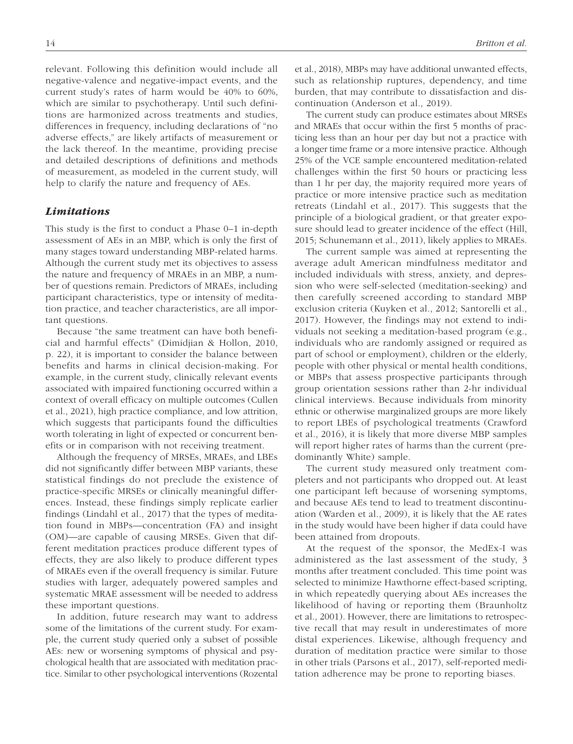relevant. Following this definition would include all negative-valence and negative-impact events, and the current study's rates of harm would be 40% to 60%, which are similar to psychotherapy. Until such definitions are harmonized across treatments and studies, differences in frequency, including declarations of "no adverse effects," are likely artifacts of measurement or the lack thereof. In the meantime, providing precise and detailed descriptions of definitions and methods of measurement, as modeled in the current study, will help to clarify the nature and frequency of AEs.

## Limitations

This study is the first to conduct a Phase 0–1 in-depth assessment of AEs in an MBP, which is only the first of many stages toward understanding MBP-related harms. Although the current study met its objectives to assess the nature and frequency of MRAEs in an MBP, a number of questions remain. Predictors of MRAEs, including participant characteristics, type or intensity of meditation practice, and teacher characteristics, are all important questions.

Because "the same treatment can have both beneficial and harmful effects" (Dimidjian & Hollon, 2010, p. 22), it is important to consider the balance between benefits and harms in clinical decision-making. For example, in the current study, clinically relevant events associated with impaired functioning occurred within a context of overall efficacy on multiple outcomes (Cullen et al., 2021), high practice compliance, and low attrition, which suggests that participants found the difficulties worth tolerating in light of expected or concurrent benefits or in comparison with not receiving treatment.

Although the frequency of MRSEs, MRAEs, and LBEs did not significantly differ between MBP variants, these statistical findings do not preclude the existence of practice-specific MRSEs or clinically meaningful differences. Instead, these findings simply replicate earlier findings (Lindahl et al., 2017) that the types of meditation found in MBPs—concentration (FA) and insight (OM)—are capable of causing MRSEs. Given that different meditation practices produce different types of effects, they are also likely to produce different types of MRAEs even if the overall frequency is similar. Future studies with larger, adequately powered samples and systematic MRAE assessment will be needed to address these important questions.

In addition, future research may want to address some of the limitations of the current study. For example, the current study queried only a subset of possible AEs: new or worsening symptoms of physical and psychological health that are associated with meditation practice. Similar to other psychological interventions (Rozental et al., 2018), MBPs may have additional unwanted effects, such as relationship ruptures, dependency, and time burden, that may contribute to dissatisfaction and discontinuation (Anderson et al., 2019).

The current study can produce estimates about MRSEs and MRAEs that occur within the first 5 months of practicing less than an hour per day but not a practice with a longer time frame or a more intensive practice. Although 25% of the VCE sample encountered meditation-related challenges within the first 50 hours or practicing less than 1 hr per day, the majority required more years of practice or more intensive practice such as meditation retreats (Lindahl et al., 2017). This suggests that the principle of a biological gradient, or that greater exposure should lead to greater incidence of the effect (Hill, 2015; Schunemann et al., 2011), likely applies to MRAEs.

The current sample was aimed at representing the average adult American mindfulness meditator and included individuals with stress, anxiety, and depression who were self-selected (meditation-seeking) and then carefully screened according to standard MBP exclusion criteria (Kuyken et al., 2012; Santorelli et al., 2017). However, the findings may not extend to individuals not seeking a meditation-based program (e.g., individuals who are randomly assigned or required as part of school or employment), children or the elderly, people with other physical or mental health conditions, or MBPs that assess prospective participants through group orientation sessions rather than 2-hr individual clinical interviews. Because individuals from minority ethnic or otherwise marginalized groups are more likely to report LBEs of psychological treatments (Crawford et al., 2016), it is likely that more diverse MBP samples will report higher rates of harms than the current (predominantly White) sample.

The current study measured only treatment completers and not participants who dropped out. At least one participant left because of worsening symptoms, and because AEs tend to lead to treatment discontinuation (Warden et al., 2009), it is likely that the AE rates in the study would have been higher if data could have been attained from dropouts.

At the request of the sponsor, the MedEx-I was administered as the last assessment of the study, 3 months after treatment concluded. This time point was selected to minimize Hawthorne effect-based scripting, in which repeatedly querying about AEs increases the likelihood of having or reporting them (Braunholtz et al., 2001). However, there are limitations to retrospective recall that may result in underestimates of more distal experiences. Likewise, although frequency and duration of meditation practice were similar to those in other trials (Parsons et al., 2017), self-reported meditation adherence may be prone to reporting biases.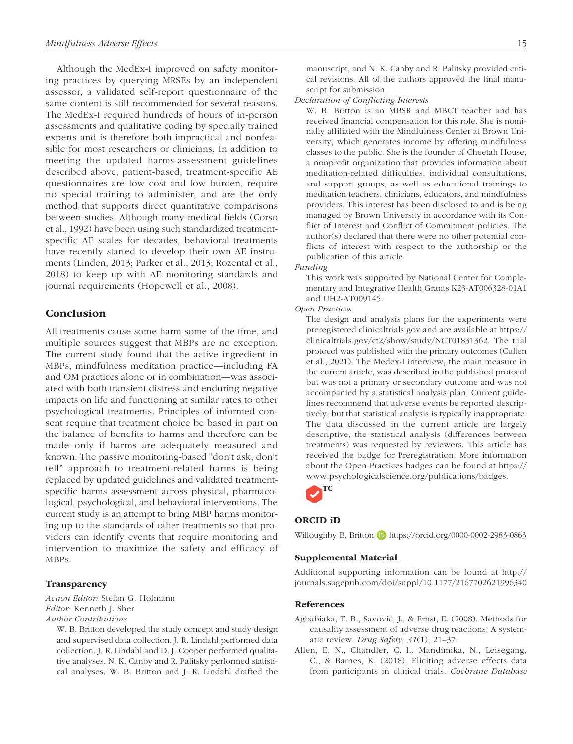Although the MedEx-I improved on safety monitoring practices by querying MRSEs by an independent assessor, a validated self-report questionnaire of the same content is still recommended for several reasons. The MedEx-I required hundreds of hours of in-person assessments and qualitative coding by specially trained experts and is therefore both impractical and nonfeasible for most researchers or clinicians. In addition to meeting the updated harms-assessment guidelines described above, patient-based, treatment-specific AE questionnaires are low cost and low burden, require no special training to administer, and are the only method that supports direct quantitative comparisons between studies. Although many medical fields (Corso et al., 1992) have been using such standardized treatmentspecific AE scales for decades, behavioral treatments have recently started to develop their own AE instruments (Linden, 2013; Parker et al., 2013; Rozental et al., 2018) to keep up with AE monitoring standards and journal requirements (Hopewell et al., 2008).

## Conclusion

All treatments cause some harm some of the time, and multiple sources suggest that MBPs are no exception. The current study found that the active ingredient in MBPs, mindfulness meditation practice—including FA and OM practices alone or in combination—was associated with both transient distress and enduring negative impacts on life and functioning at similar rates to other psychological treatments. Principles of informed consent require that treatment choice be based in part on the balance of benefits to harms and therefore can be made only if harms are adequately measured and known. The passive monitoring-based "don't ask, don't tell" approach to treatment-related harms is being replaced by updated guidelines and validated treatmentspecific harms assessment across physical, pharmacological, psychological, and behavioral interventions. The current study is an attempt to bring MBP harms monitoring up to the standards of other treatments so that providers can identify events that require monitoring and intervention to maximize the safety and efficacy of MBPs.

## **Transparency**

*Action Editor:* Stefan G. Hofmann *Editor:* Kenneth J. Sher *Author Contributions*

W. B. Britton developed the study concept and study design and supervised data collection. J. R. Lindahl performed data collection. J. R. Lindahl and D. J. Cooper performed qualitative analyses. N. K. Canby and R. Palitsky performed statistical analyses. W. B. Britton and J. R. Lindahl drafted the manuscript, and N. K. Canby and R. Palitsky provided critical revisions. All of the authors approved the final manuscript for submission.

*Declaration of Conflicting Interests*

W. B. Britton is an MBSR and MBCT teacher and has received financial compensation for this role. She is nominally affiliated with the Mindfulness Center at Brown University, which generates income by offering mindfulness classes to the public. She is the founder of Cheetah House, a nonprofit organization that provides information about meditation-related difficulties, individual consultations, and support groups, as well as educational trainings to meditation teachers, clinicians, educators, and mindfulness providers. This interest has been disclosed to and is being managed by Brown University in accordance with its Conflict of Interest and Conflict of Commitment policies. The author(s) declared that there were no other potential conflicts of interest with respect to the authorship or the publication of this article.

#### *Funding*

This work was supported by National Center for Complementary and Integrative Health Grants K23-AT006328-01A1 and UH2-AT009145.

*Open Practices*

The design and analysis plans for the experiments were preregistered clinicaltrials.gov and are available at https:// clinicaltrials.gov/ct2/show/study/NCT01831362. The trial protocol was published with the primary outcomes (Cullen et al., 2021). The Medex-I interview, the main measure in the current article, was described in the published protocol but was not a primary or secondary outcome and was not accompanied by a statistical analysis plan. Current guidelines recommend that adverse events be reported descriptively, but that statistical analysis is typically inappropriate. The data discussed in the current article are largely descriptive; the statistical analysis (differences between treatments) was requested by reviewers. This article has received the badge for Preregistration. More information about the Open Practices badges can be found at https:// www.psychologicalscience.org/publications/badges.



#### ORCID iD

Willoughby B. Britton **D** https://orcid.org/0000-0002-2983-0863

### Supplemental Material

Additional supporting information can be found at http:// journals.sagepub.com/doi/suppl/10.1177/2167702621996340

### References

- Agbabiaka, T. B., Savovic, J., & Ernst, E. (2008). Methods for causality assessment of adverse drug reactions: A systematic review. *Drug Safety*, *31*(1), 21–37.
- Allen, E. N., Chandler, C. I., Mandimika, N., Leisegang, C., & Barnes, K. (2018). Eliciting adverse effects data from participants in clinical trials. *Cochrane Database*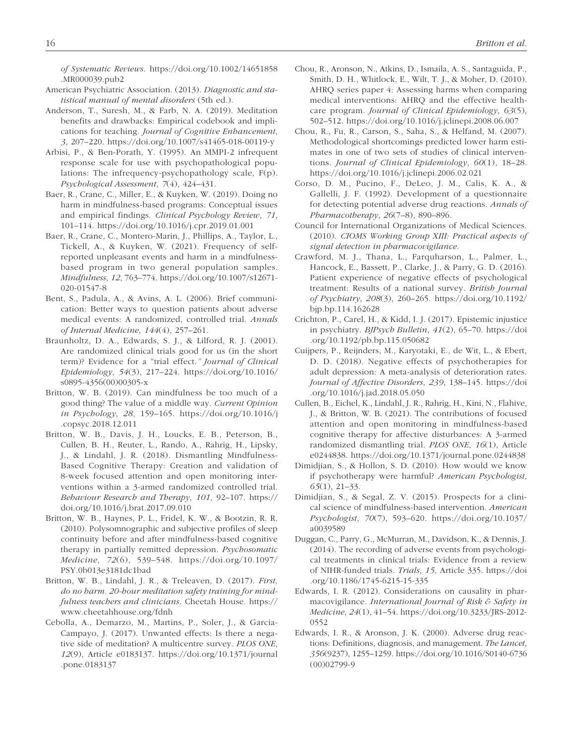*of Systematic Reviews*. https://doi.org/10.1002/14651858 .MR000039.pub2

- American Psychiatric Association. (2013). *Diagnostic and statistical manual of mental disorders* (5th ed.).
- Anderson, T., Suresh, M., & Farb, N. A. (2019). Meditation benefits and drawbacks: Empirical codebook and implications for teaching. *Journal of Cognitive Enhancement*, *3*, 207–220. https://doi.org/10.1007/s41465-018-00119-y
- Arbisi, P., & Ben-Porath, Y. (1995). An MMPI-2 infrequent response scale for use with psychopathological populations: The infrequency-psychopathology scale, F(p). *Psychological Assessment*, *7*(4), 424–431.
- Baer, R., Crane, C., Miller, E., & Kuyken, W. (2019). Doing no harm in mindfulness-based programs: Conceptual issues and empirical findings. *Clinical Psychology Review*, *71*, 101–114. https://doi.org/10.1016/j.cpr.2019.01.001
- Baer, R., Crane, C., Montero-Marin, J., Phillips, A., Taylor, L., Tickell, A., & Kuyken, W. (2021). Frequency of selfreported unpleasant events and harm in a mindfulnessbased program in two general population samples. *Mindfulness*, *12*, 763–774. https://doi.org/10.1007/s12671- 020-01547-8
- Bent, S., Padula, A., & Avins, A. L. (2006). Brief communication: Better ways to question patients about adverse medical events: A randomized, controlled trial. *Annals of Internal Medicine*, *144*(4), 257–261.
- Braunholtz, D. A., Edwards, S. J., & Lilford, R. J. (2001). Are randomized clinical trials good for us (in the short term)? Evidence for a "trial effect.*" Journal of Clinical Epidemiology*, *54*(3), 217–224. https://doi.org/10.1016/ s0895-4356(00)00305-x
- Britton, W. B. (2019). Can mindfulness be too much of a good thing? The value of a middle way. *Current Opinion in Psychology*, *28*, 159–165. https://doi.org/10.1016/j .copsyc.2018.12.011
- Britton, W. B., Davis, J. H., Loucks, E. B., Peterson, B., Cullen, B. H., Reuter, L., Rando, A., Rahrig, H., Lipsky, J., & Lindahl, J. R. (2018). Dismantling Mindfulness-Based Cognitive Therapy: Creation and validation of 8-week focused attention and open monitoring interventions within a 3-armed randomized controlled trial. *Behaviour Research and Therapy*, *101*, 92–107. https:// doi.org/10.1016/j.brat.2017.09.010
- Britton, W. B., Haynes, P. L., Fridel, K. W., & Bootzin, R. R. (2010). Polysomnographic and subjective profiles of sleep continuity before and after mindfulness-based cognitive therapy in partially remitted depression. *Psychosomatic Medicine*, *72*(6), 539–548. https://doi.org/10.1097/ PSY.0b013e3181dc1bad
- Britton, W. B., Lindahl, J. R., & Treleaven, D. (2017). *First, do no harm. 20-hour meditation safety training for mindfulness teachers and clinicians*. Cheetah House. https:// www.cheetahhouse.org/fdnh
- Cebolla, A., Demarzo, M., Martins, P., Soler, J., & Garcia-Campayo, J. (2017). Unwanted effects: Is there a negative side of meditation? A multicentre survey. *PLOS ONE*, *12*(9), Article e0183137. https://doi.org/10.1371/journal .pone.0183137
- Chou, R., Aronson, N., Atkins, D., Ismaila, A. S., Santaguida, P., Smith, D. H., Whitlock, E., Wilt, T. J., & Moher, D. (2010). AHRQ series paper 4: Assessing harms when comparing medical interventions: AHRQ and the effective healthcare program. *Journal of Clinical Epidemiology*, *63*(5), 502–512. https://doi.org/10.1016/j.jclinepi.2008.06.007
- Chou, R., Fu, R., Carson, S., Saha, S., & Helfand, M. (2007). Methodological shortcomings predicted lower harm estimates in one of two sets of studies of clinical interventions. *Journal of Clinical Epidemiology*, *60*(1), 18–28. https://doi.org/10.1016/j.jclinepi.2006.02.021
- Corso, D. M., Pucino, F., DeLeo, J. M., Calis, K. A., & Gallelli, J. F. (1992). Development of a questionnaire for detecting potential adverse drug reactions. *Annals of Pharmacotherapy*, *26*(7–8), 890–896.
- Council for International Organizations of Medical Sciences. (2010). *CIOMS Working Group XIII: Practical aspects of signal detection in pharmacovigilance*.
- Crawford, M. J., Thana, L., Farquharson, L., Palmer, L., Hancock, E., Bassett, P., Clarke, J., & Parry, G. D. (2016). Patient experience of negative effects of psychological treatment: Results of a national survey. *British Journal of Psychiatry*, *208*(3), 260–265. https://doi.org/10.1192/ bjp.bp.114.162628
- Crichton, P., Carel, H., & Kidd, I. J. (2017). Epistemic injustice in psychiatry. *BJPsych Bulletin*, *41*(2), 65–70. https://doi .org/10.1192/pb.bp.115.050682
- Cuijpers, P., Reijnders, M., Karyotaki, E., de Wit, L., & Ebert, D. D. (2018). Negative effects of psychotherapies for adult depression: A meta-analysis of deterioration rates. *Journal of Affective Disorders*, *239*, 138–145. https://doi .org/10.1016/j.jad.2018.05.050
- Cullen, B., Eichel, K., Lindahl, J. R., Rahrig, H., Kini, N., Flahive, J., & Britton, W. B. (2021). The contributions of focused attention and open monitoring in mindfulness-based cognitive therapy for affective disturbances: A 3-armed randomized dismantling trial. *PLOS ONE*, *16*(1), Article e0244838. https://doi.org/10.1371/journal.pone.0244838
- Dimidjian, S., & Hollon, S. D. (2010). How would we know if psychotherapy were harmful? *American Psychologist*, *65*(1), 21–33.
- Dimidjian, S., & Segal, Z. V. (2015). Prospects for a clinical science of mindfulness-based intervention. *American Psychologist*, *70*(7), 593–620. https://doi.org/10.1037/ a0039589
- Duggan, C., Parry, G., McMurran, M., Davidson, K., & Dennis, J. (2014). The recording of adverse events from psychological treatments in clinical trials: Evidence from a review of NIHR-funded trials. *Trials*, *15*, Article 335. https://doi .org/10.1186/1745-6215-15-335
- Edwards, I. R. (2012). Considerations on causality in pharmacovigilance. *International Journal of Risk & Safety in Medicine*, *24*(1), 41–54. https://doi.org/10.3233/JRS-2012- 0552
- Edwards, I. R., & Aronson, J. K. (2000). Adverse drug reactions: Definitions, diagnosis, and management. *The Lancet*, *356*(9237), 1255–1259. https://doi.org/10.1016/S0140-6736 (00)02799-9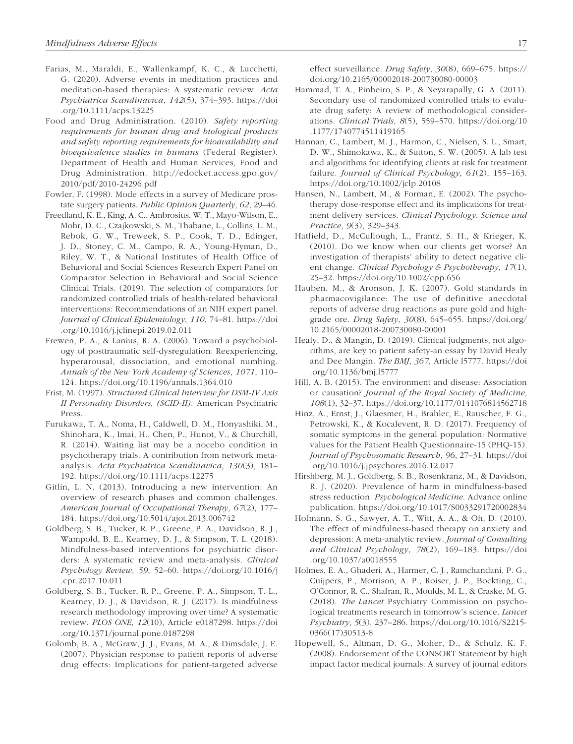- Farias, M., Maraldi, E., Wallenkampf, K. C., & Lucchetti, G. (2020). Adverse events in meditation practices and meditation-based therapies: A systematic review. *Acta Psychiatrica Scandinavica*, *142*(5), 374–393. https://doi .org/10.1111/acps.13225
- Food and Drug Administration. (2010). *Safety reporting requirements for human drug and biological products and safety reporting requirements for bioavailability and bioequivalence studies in humans* (Federal Register). Department of Health and Human Services, Food and Drug Administration. http://edocket.access.gpo.gov/ 2010/pdf/2010-24296.pdf
- Fowler, F. (1998). Mode effects in a survey of Medicare prostate surgery patients. *Public Opinion Quarterly*, *62*, 29–46.
- Freedland, K. E., King, A. C., Ambrosius, W. T., Mayo-Wilson, E., Mohr, D. C., Czajkowski, S. M., Thabane, L., Collins, L. M., Rebok, G. W., Treweek, S. P., Cook, T. D., Edinger, J. D., Stoney, C. M., Campo, R. A., Young-Hyman, D., Riley, W. T., & National Institutes of Health Office of Behavioral and Social Sciences Research Expert Panel on Comparator Selection in Behavioral and Social Science Clinical Trials. (2019). The selection of comparators for randomized controlled trials of health-related behavioral interventions: Recommendations of an NIH expert panel. *Journal of Clinical Epidemiology*, *110*, 74–81. https://doi .org/10.1016/j.jclinepi.2019.02.011
- Frewen, P. A., & Lanius, R. A. (2006). Toward a psychobiology of posttraumatic self-dysregulation: Reexperiencing, hyperarousal, dissociation, and emotional numbing. *Annals of the New York Academy of Sciences*, *1071*, 110– 124. https://doi.org/10.1196/annals.1364.010
- Frist, M. (1997). *Structured Clinical Interview for DSM-IV Axis II Personality Disorders, (SCID-II)*. American Psychiatric Press.
- Furukawa, T. A., Noma, H., Caldwell, D. M., Honyashiki, M., Shinohara, K., Imai, H., Chen, P., Hunot, V., & Churchill, R. (2014). Waiting list may be a nocebo condition in psychotherapy trials: A contribution from network metaanalysis. *Acta Psychiatrica Scandinavica*, *130*(3), 181– 192. https://doi.org/10.1111/acps.12275
- Gitlin, L. N. (2013). Introducing a new intervention: An overview of research phases and common challenges. *American Journal of Occupational Therapy*, *67*(2), 177– 184. https://doi.org/10.5014/ajot.2013.006742
- Goldberg, S. B., Tucker, R. P., Greene, P. A., Davidson, R. J., Wampold, B. E., Kearney, D. J., & Simpson, T. L. (2018). Mindfulness-based interventions for psychiatric disorders: A systematic review and meta-analysis. *Clinical Psychology Review*, *59*, 52–60. https://doi.org/10.1016/j .cpr.2017.10.011
- Goldberg, S. B., Tucker, R. P., Greene, P. A., Simpson, T. L., Kearney, D. J., & Davidson, R. J. (2017). Is mindfulness research methodology improving over time? A systematic review. *PLOS ONE*, *12*(10), Article e0187298. https://doi .org/10.1371/journal.pone.0187298
- Golomb, B. A., McGraw, J. J., Evans, M. A., & Dimsdale, J. E. (2007). Physician response to patient reports of adverse drug effects: Implications for patient-targeted adverse

effect surveillance. *Drug Safety*, *30*(8), 669–675. https:// doi.org/10.2165/00002018-200730080-00003

- Hammad, T. A., Pinheiro, S. P., & Neyarapally, G. A. (2011). Secondary use of randomized controlled trials to evaluate drug safety: A review of methodological considerations. *Clinical Trials*, *8*(5), 559–570. https://doi.org/10 .1177/1740774511419165
- Hannan, C., Lambert, M. J., Harmon, C., Nielsen, S. L., Smart, D. W., Shimokawa, K., & Sutton, S. W. (2005). A lab test and algorithms for identifying clients at risk for treatment failure. *Journal of Clinical Psychology*, *61*(2), 155–163. https://doi.org/10.1002/jclp.20108
- Hansen, N., Lambert, M., & Forman, E. (2002). The psychotherapy dose-response effect and its implications for treatment delivery services. *Clinical Psychology: Science and Practice*, *9*(3), 329–343.
- Hatfield, D., McCullough, L., Frantz, S. H., & Krieger, K. (2010). Do we know when our clients get worse? An investigation of therapists' ability to detect negative client change. *Clinical Psychology & Psychotherapy*, *17*(1), 25–32. https://doi.org/10.1002/cpp.656
- Hauben, M., & Aronson, J. K. (2007). Gold standards in pharmacovigilance: The use of definitive anecdotal reports of adverse drug reactions as pure gold and highgrade ore. *Drug Safety*, *30*(8), 645–655. https://doi.org/ 10.2165/00002018-200730080-00001
- Healy, D., & Mangin, D. (2019). Clinical judgments, not algorithms, are key to patient safety-an essay by David Healy and Dee Mangin. *The BMJ*, *367*, Article l5777. https://doi .org/10.1136/bmj.l5777
- Hill, A. B. (2015). The environment and disease: Association or causation? *Journal of the Royal Society of Medicine*, *108*(1), 32–37. https://doi.org/10.1177/0141076814562718
- Hinz, A., Ernst, J., Glaesmer, H., Brahler, E., Rauscher, F. G., Petrowski, K., & Kocalevent, R. D. (2017). Frequency of somatic symptoms in the general population: Normative values for the Patient Health Questionnaire-15 (PHQ-15). *Journal of Psychosomatic Research*, *96*, 27–31. https://doi .org/10.1016/j.jpsychores.2016.12.017
- Hirshberg, M. J., Goldberg, S. B., Rosenkranz, M., & Davidson, R. J. (2020). Prevalence of harm in mindfulness-based stress reduction. *Psychological Medicine*. Advance online publication. https://doi.org/10.1017/S0033291720002834
- Hofmann, S. G., Sawyer, A. T., Witt, A. A., & Oh, D. (2010). The effect of mindfulness-based therapy on anxiety and depression: A meta-analytic review. *Journal of Consulting and Clinical Psychology*, *78*(2), 169–183. https://doi .org/10.1037/a0018555
- Holmes, E. A., Ghaderi, A., Harmer, C. J., Ramchandani, P. G., Cuijpers, P., Morrison, A. P., Roiser, J. P., Bockting, C., O'Connor, R. C., Shafran, R., Moulds, M. L., & Craske, M. G. (2018). *The Lancet* Psychiatry Commission on psychological treatments research in tomorrow's science. *Lancet Psychiatry*, *5*(3), 237–286. https://doi.org/10.1016/S2215- 0366(17)30513-8
- Hopewell, S., Altman, D. G., Moher, D., & Schulz, K. F. (2008). Endorsement of the CONSORT Statement by high impact factor medical journals: A survey of journal editors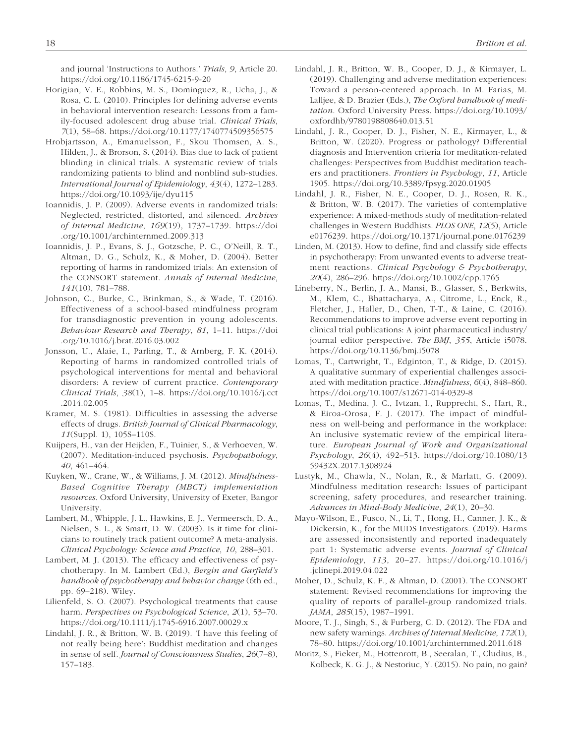and journal 'Instructions to Authors.' *Trials*, *9*, Article 20. https://doi.org/10.1186/1745-6215-9-20

- Horigian, V. E., Robbins, M. S., Dominguez, R., Ucha, J., & Rosa, C. L. (2010). Principles for defining adverse events in behavioral intervention research: Lessons from a family-focused adolescent drug abuse trial. *Clinical Trials*, *7*(1), 58–68. https://doi.org/10.1177/1740774509356575
- Hrobjartsson, A., Emanuelsson, F., Skou Thomsen, A. S., Hilden, J., & Brorson, S. (2014). Bias due to lack of patient blinding in clinical trials. A systematic review of trials randomizing patients to blind and nonblind sub-studies. *International Journal of Epidemiology*, *43*(4), 1272–1283. https://doi.org/10.1093/ije/dyu115
- Ioannidis, J. P. (2009). Adverse events in randomized trials: Neglected, restricted, distorted, and silenced. *Archives of Internal Medicine*, *169*(19), 1737–1739. https://doi .org/10.1001/archinternmed.2009.313
- Ioannidis, J. P., Evans, S. J., Gotzsche, P. C., O'Neill, R. T., Altman, D. G., Schulz, K., & Moher, D. (2004). Better reporting of harms in randomized trials: An extension of the CONSORT statement. *Annals of Internal Medicine*, *141*(10), 781–788.
- Johnson, C., Burke, C., Brinkman, S., & Wade, T. (2016). Effectiveness of a school-based mindfulness program for transdiagnostic prevention in young adolescents. *Behaviour Research and Therapy*, *81*, 1–11. https://doi .org/10.1016/j.brat.2016.03.002
- Jonsson, U., Alaie, I., Parling, T., & Arnberg, F. K. (2014). Reporting of harms in randomized controlled trials of psychological interventions for mental and behavioral disorders: A review of current practice. *Contemporary Clinical Trials*, *38*(1), 1–8. https://doi.org/10.1016/j.cct .2014.02.005
- Kramer, M. S. (1981). Difficulties in assessing the adverse effects of drugs. *British Journal of Clinical Pharmacology*, *11*(Suppl. 1), 105S–110S.
- Kuijpers, H., van der Heijden, F., Tuinier, S., & Verhoeven, W. (2007). Meditation-induced psychosis. *Psychopathology*, *40*, 461–464.
- Kuyken, W., Crane, W., & Williams, J. M. (2012). *Mindfulness-Based Cognitive Therapy (MBCT) implementation resources*. Oxford University, University of Exeter, Bangor University.
- Lambert, M., Whipple, J. L., Hawkins, E. J., Vermeersch, D. A., Nielsen, S. L., & Smart, D. W. (2003). Is it time for clinicians to routinely track patient outcome? A meta-analysis. *Clinical Psychology: Science and Practice*, *10*, 288–301.
- Lambert, M. J. (2013). The efficacy and effectiveness of psychotherapy. In M. Lambert (Ed.), *Bergin and Garfield's handbook of psychotherapy and behavior change* (6th ed., pp. 69–218). Wiley.
- Lilienfeld, S. O. (2007). Psychological treatments that cause harm. *Perspectives on Psychological Science*, *2*(1), 53–70. https://doi.org/10.1111/j.1745-6916.2007.00029.x
- Lindahl, J. R., & Britton, W. B. (2019). 'I have this feeling of not really being here': Buddhist meditation and changes in sense of self. *Journal of Consciousness Studies*, *26*(7–8), 157–183.
- Lindahl, J. R., Britton, W. B., Cooper, D. J., & Kirmayer, L. (2019). Challenging and adverse meditation experiences: Toward a person-centered approach. In M. Farias, M. Lalljee, & D. Brazier (Eds.), *The Oxford handbook of meditation*. Oxford University Press. https://doi.org/10.1093/ oxfordhb/9780198808640.013.51
- Lindahl, J. R., Cooper, D. J., Fisher, N. E., Kirmayer, L., & Britton, W. (2020). Progress or pathology? Differential diagnosis and Intervention criteria for meditation-related challenges: Perspectives from Buddhist meditation teachers and practitioners. *Frontiers in Psychology*, *11*, Article 1905. https://doi.org/10.3389/fpsyg.2020.01905
- Lindahl, J. R., Fisher, N. E., Cooper, D. J., Rosen, R. K., & Britton, W. B. (2017). The varieties of contemplative experience: A mixed-methods study of meditation-related challenges in Western Buddhists. *PLOS ONE*, *12*(5), Article e0176239. https://doi.org/10.1371/journal.pone.0176239
- Linden, M. (2013). How to define, find and classify side effects in psychotherapy: From unwanted events to adverse treatment reactions. *Clinical Psychology & Psychotherapy*, *20*(4), 286–296. https://doi.org/10.1002/cpp.1765
- Lineberry, N., Berlin, J. A., Mansi, B., Glasser, S., Berkwits, M., Klem, C., Bhattacharya, A., Citrome, L., Enck, R., Fletcher, J., Haller, D., Chen, T-T., & Laine, C. (2016). Recommendations to improve adverse event reporting in clinical trial publications: A joint pharmaceutical industry/ journal editor perspective. *The BMJ*, *355*, Article i5078. https://doi.org/10.1136/bmj.i5078
- Lomas, T., Cartwright, T., Edginton, T., & Ridge, D. (2015). A qualitative summary of experiential challenges associated with meditation practice. *Mindfulness*, *6*(4), 848–860. https://doi.org/10.1007/s12671-014-0329-8
- Lomas, T., Medina, J. C., Ivtzan, I., Rupprecht, S., Hart, R., & Eiroa-Orosa, F. J. (2017). The impact of mindfulness on well-being and performance in the workplace: An inclusive systematic review of the empirical literature. *European Journal of Work and Organizational Psychology*, *26*(4), 492–513. https://doi.org/10.1080/13 59432X.2017.1308924
- Lustyk, M., Chawla, N., Nolan, R., & Marlatt, G. (2009). Mindfulness meditation research: Issues of participant screening, safety procedures, and researcher training. *Advances in Mind-Body Medicine*, *24*(1), 20–30.
- Mayo-Wilson, E., Fusco, N., Li, T., Hong, H., Canner, J. K., & Dickersin, K., for the MUDS Investigators. (2019). Harms are assessed inconsistently and reported inadequately part 1: Systematic adverse events. *Journal of Clinical Epidemiology*, *113*, 20–27. https://doi.org/10.1016/j .jclinepi.2019.04.022
- Moher, D., Schulz, K. F., & Altman, D. (2001). The CONSORT statement: Revised recommendations for improving the quality of reports of parallel-group randomized trials. *JAMA*, *285*(15), 1987–1991.
- Moore, T. J., Singh, S., & Furberg, C. D. (2012). The FDA and new safety warnings. *Archives of Internal Medicine*, *172*(1), 78–80. https://doi.org/10.1001/archinternmed.2011.618
- Moritz, S., Fieker, M., Hottenrott, B., Seeralan, T., Cludius, B., Kolbeck, K. G. J., & Nestoriuc, Y. (2015). No pain, no gain?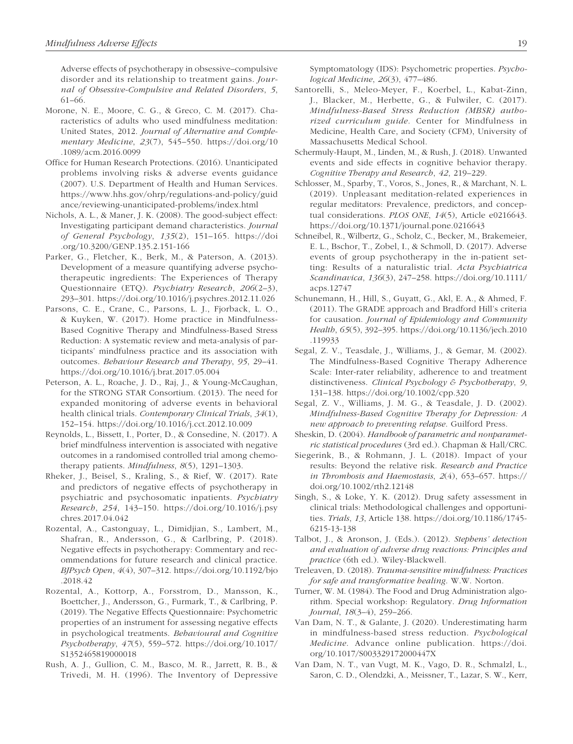Adverse effects of psychotherapy in obsessive–compulsive disorder and its relationship to treatment gains. *Journal of Obsessive-Compulsive and Related Disorders*, *5*, 61–66.

- Morone, N. E., Moore, C. G., & Greco, C. M. (2017). Characteristics of adults who used mindfulness meditation: United States, 2012. *Journal of Alternative and Complementary Medicine*, *23*(7), 545–550. https://doi.org/10 .1089/acm.2016.0099
- Office for Human Research Protections. (2016). Unanticipated problems involving risks & adverse events guidance (2007). U.S. Department of Health and Human Services. https://www.hhs.gov/ohrp/regulations-and-policy/guid ance/reviewing-unanticipated-problems/index.html
- Nichols, A. L., & Maner, J. K. (2008). The good-subject effect: Investigating participant demand characteristics. *Journal of General Psychology*, *135*(2), 151–165. https://doi .org/10.3200/GENP.135.2.151-166
- Parker, G., Fletcher, K., Berk, M., & Paterson, A. (2013). Development of a measure quantifying adverse psychotherapeutic ingredients: The Experiences of Therapy Questionnaire (ETQ). *Psychiatry Research*, *206*(2–3), 293–301. https://doi.org/10.1016/j.psychres.2012.11.026
- Parsons, C. E., Crane, C., Parsons, L. J., Fjorback, L. O., & Kuyken, W. (2017). Home practice in Mindfulness-Based Cognitive Therapy and Mindfulness-Based Stress Reduction: A systematic review and meta-analysis of participants' mindfulness practice and its association with outcomes. *Behaviour Research and Therapy*, *95*, 29–41. https://doi.org/10.1016/j.brat.2017.05.004
- Peterson, A. L., Roache, J. D., Raj, J., & Young-McCaughan, for the STRONG STAR Consortium. (2013). The need for expanded monitoring of adverse events in behavioral health clinical trials. *Contemporary Clinical Trials*, *34*(1), 152–154. https://doi.org/10.1016/j.cct.2012.10.009
- Reynolds, L., Bissett, I., Porter, D., & Consedine, N. (2017). A brief mindfulness intervention is associated with negative outcomes in a randomised controlled trial among chemotherapy patients. *Mindfulness*, *8*(5), 1291–1303.
- Rheker, J., Beisel, S., Kraling, S., & Rief, W. (2017). Rate and predictors of negative effects of psychotherapy in psychiatric and psychosomatic inpatients. *Psychiatry Research*, *254*, 143–150. https://doi.org/10.1016/j.psy chres.2017.04.042
- Rozental, A., Castonguay, L., Dimidjian, S., Lambert, M., Shafran, R., Andersson, G., & Carlbring, P. (2018). Negative effects in psychotherapy: Commentary and recommendations for future research and clinical practice. *BJPsych Open*, *4*(4), 307–312. https://doi.org/10.1192/bjo .2018.42
- Rozental, A., Kottorp, A., Forsstrom, D., Mansson, K., Boettcher, J., Andersson, G., Furmark, T., & Carlbring, P. (2019). The Negative Effects Questionnaire: Psychometric properties of an instrument for assessing negative effects in psychological treatments. *Behavioural and Cognitive Psychotherapy*, *47*(5), 559–572. https://doi.org/10.1017/ S1352465819000018
- Rush, A. J., Gullion, C. M., Basco, M. R., Jarrett, R. B., & Trivedi, M. H. (1996). The Inventory of Depressive

Symptomatology (IDS): Psychometric properties. *Psychological Medicine*, *26*(3), 477–486.

- Santorelli, S., Meleo-Meyer, F., Koerbel, L., Kabat-Zinn, J., Blacker, M., Herbette, G., & Fulwiler, C. (2017). *Mindfulness-Based Stress Reduction (MBSR) authorized curriculum guide*. Center for Mindfulness in Medicine, Health Care, and Society (CFM), University of Massachusetts Medical School.
- Schermuly-Haupt, M., Linden, M., & Rush, J. (2018). Unwanted events and side effects in cognitive behavior therapy. *Cognitive Therapy and Research*, *42*, 219–229.
- Schlosser, M., Sparby, T., Voros, S., Jones, R., & Marchant, N. L. (2019). Unpleasant meditation-related experiences in regular meditators: Prevalence, predictors, and conceptual considerations. *PLOS ONE*, *14*(5), Article e0216643. https://doi.org/10.1371/journal.pone.0216643
- Schneibel, R., Wilbertz, G., Scholz, C., Becker, M., Brakemeier, E. L., Bschor, T., Zobel, I., & Schmoll, D. (2017). Adverse events of group psychotherapy in the in-patient setting: Results of a naturalistic trial. *Acta Psychiatrica Scandinavica*, *136*(3), 247–258. https://doi.org/10.1111/ acps.12747
- Schunemann, H., Hill, S., Guyatt, G., Akl, E. A., & Ahmed, F. (2011). The GRADE approach and Bradford Hill's criteria for causation. *Journal of Epidemiology and Community Health*, *65*(5), 392–395. https://doi.org/10.1136/jech.2010 .119933
- Segal, Z. V., Teasdale, J., Williams, J., & Gemar, M. (2002). The Mindfulness-Based Cognitive Therapy Adherence Scale: Inter-rater reliability, adherence to and treatment distinctiveness. *Clinical Psychology & Psychotherapy*, *9*, 131–138. https://doi.org/10.1002/cpp.320
- Segal, Z. V., Williams, J. M. G., & Teasdale, J. D. (2002). *Mindfulness-Based Cognitive Therapy for Depression: A new approach to preventing relapse*. Guilford Press.
- Sheskin, D. (2004). *Handbook of parametric and nonparametric statistical procedures* (3rd ed.). Chapman & Hall/CRC.
- Siegerink, B., & Rohmann, J. L. (2018). Impact of your results: Beyond the relative risk. *Research and Practice in Thrombosis and Haemostasis*, *2*(4), 653–657. https:// doi.org/10.1002/rth2.12148
- Singh, S., & Loke, Y. K. (2012). Drug safety assessment in clinical trials: Methodological challenges and opportunities. *Trials*, *13*, Article 138. https://doi.org/10.1186/1745- 6215-13-138
- Talbot, J., & Aronson, J. (Eds.). (2012). *Stephens' detection and evaluation of adverse drug reactions: Principles and practice* (6th ed.). Wiley-Blackwell.
- Treleaven, D. (2018). *Trauma-sensitive mindfulness: Practices for safe and transformative healing*. W.W. Norton.
- Turner, W. M. (1984). The Food and Drug Administration algorithm. Special workshop: Regulatory. *Drug Information Journal*, *18*(3–4), 259–266.
- Van Dam, N. T., & Galante, J. (2020). Underestimating harm in mindfulness-based stress reduction. *Psychological Medicine*. Advance online publication. https://doi. org/10.1017/S003329172000447X
- Van Dam, N. T., van Vugt, M. K., Vago, D. R., Schmalzl, L., Saron, C. D., Olendzki, A., Meissner, T., Lazar, S. W., Kerr,